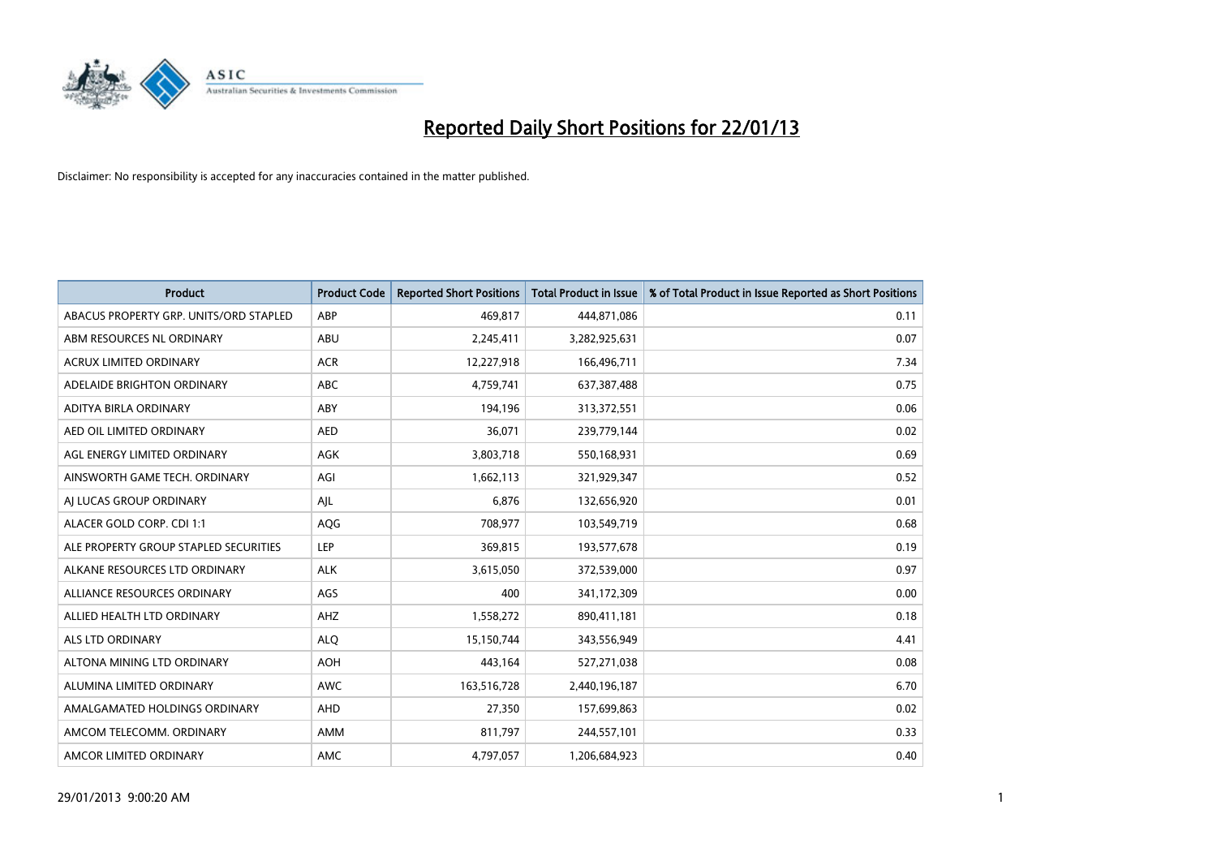

| <b>Product</b>                         | <b>Product Code</b> | <b>Reported Short Positions</b> | <b>Total Product in Issue</b> | % of Total Product in Issue Reported as Short Positions |
|----------------------------------------|---------------------|---------------------------------|-------------------------------|---------------------------------------------------------|
| ABACUS PROPERTY GRP. UNITS/ORD STAPLED | ABP                 | 469,817                         | 444,871,086                   | 0.11                                                    |
| ABM RESOURCES NL ORDINARY              | ABU                 | 2,245,411                       | 3,282,925,631                 | 0.07                                                    |
| <b>ACRUX LIMITED ORDINARY</b>          | <b>ACR</b>          | 12,227,918                      | 166,496,711                   | 7.34                                                    |
| ADELAIDE BRIGHTON ORDINARY             | <b>ABC</b>          | 4,759,741                       | 637,387,488                   | 0.75                                                    |
| <b>ADITYA BIRLA ORDINARY</b>           | ABY                 | 194,196                         | 313,372,551                   | 0.06                                                    |
| AED OIL LIMITED ORDINARY               | <b>AED</b>          | 36,071                          | 239,779,144                   | 0.02                                                    |
| AGL ENERGY LIMITED ORDINARY            | AGK                 | 3,803,718                       | 550,168,931                   | 0.69                                                    |
| AINSWORTH GAME TECH. ORDINARY          | AGI                 | 1,662,113                       | 321,929,347                   | 0.52                                                    |
| AI LUCAS GROUP ORDINARY                | AJL                 | 6,876                           | 132,656,920                   | 0.01                                                    |
| ALACER GOLD CORP. CDI 1:1              | AQG                 | 708,977                         | 103,549,719                   | 0.68                                                    |
| ALE PROPERTY GROUP STAPLED SECURITIES  | <b>LEP</b>          | 369,815                         | 193,577,678                   | 0.19                                                    |
| ALKANE RESOURCES LTD ORDINARY          | <b>ALK</b>          | 3,615,050                       | 372,539,000                   | 0.97                                                    |
| ALLIANCE RESOURCES ORDINARY            | AGS                 | 400                             | 341,172,309                   | 0.00                                                    |
| ALLIED HEALTH LTD ORDINARY             | AHZ                 | 1,558,272                       | 890,411,181                   | 0.18                                                    |
| <b>ALS LTD ORDINARY</b>                | <b>ALQ</b>          | 15,150,744                      | 343,556,949                   | 4.41                                                    |
| ALTONA MINING LTD ORDINARY             | <b>AOH</b>          | 443,164                         | 527,271,038                   | 0.08                                                    |
| ALUMINA LIMITED ORDINARY               | <b>AWC</b>          | 163,516,728                     | 2,440,196,187                 | 6.70                                                    |
| AMALGAMATED HOLDINGS ORDINARY          | AHD                 | 27,350                          | 157,699,863                   | 0.02                                                    |
| AMCOM TELECOMM, ORDINARY               | AMM                 | 811,797                         | 244,557,101                   | 0.33                                                    |
| AMCOR LIMITED ORDINARY                 | AMC                 | 4,797,057                       | 1,206,684,923                 | 0.40                                                    |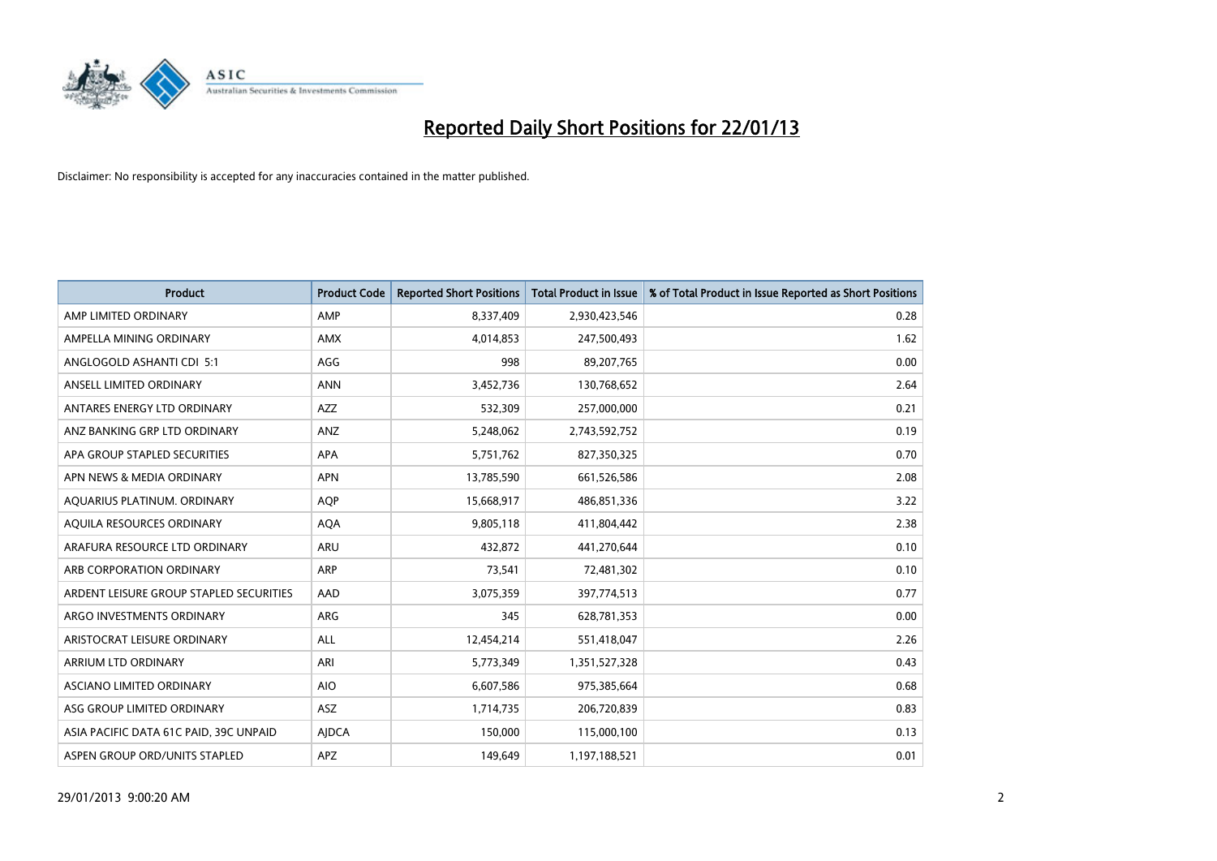

| <b>Product</b>                          | <b>Product Code</b> | <b>Reported Short Positions</b> | <b>Total Product in Issue</b> | % of Total Product in Issue Reported as Short Positions |
|-----------------------------------------|---------------------|---------------------------------|-------------------------------|---------------------------------------------------------|
| AMP LIMITED ORDINARY                    | AMP                 | 8,337,409                       | 2,930,423,546                 | 0.28                                                    |
| AMPELLA MINING ORDINARY                 | <b>AMX</b>          | 4,014,853                       | 247,500,493                   | 1.62                                                    |
| ANGLOGOLD ASHANTI CDI 5:1               | AGG                 | 998                             | 89,207,765                    | 0.00                                                    |
| ANSELL LIMITED ORDINARY                 | <b>ANN</b>          | 3,452,736                       | 130,768,652                   | 2.64                                                    |
| ANTARES ENERGY LTD ORDINARY             | <b>AZZ</b>          | 532,309                         | 257,000,000                   | 0.21                                                    |
| ANZ BANKING GRP LTD ORDINARY            | ANZ                 | 5,248,062                       | 2,743,592,752                 | 0.19                                                    |
| APA GROUP STAPLED SECURITIES            | <b>APA</b>          | 5,751,762                       | 827,350,325                   | 0.70                                                    |
| APN NEWS & MEDIA ORDINARY               | <b>APN</b>          | 13,785,590                      | 661,526,586                   | 2.08                                                    |
| AQUARIUS PLATINUM. ORDINARY             | <b>AOP</b>          | 15,668,917                      | 486,851,336                   | 3.22                                                    |
| AQUILA RESOURCES ORDINARY               | <b>AQA</b>          | 9,805,118                       | 411,804,442                   | 2.38                                                    |
| ARAFURA RESOURCE LTD ORDINARY           | ARU                 | 432,872                         | 441,270,644                   | 0.10                                                    |
| ARB CORPORATION ORDINARY                | <b>ARP</b>          | 73,541                          | 72,481,302                    | 0.10                                                    |
| ARDENT LEISURE GROUP STAPLED SECURITIES | AAD                 | 3,075,359                       | 397,774,513                   | 0.77                                                    |
| ARGO INVESTMENTS ORDINARY               | ARG                 | 345                             | 628,781,353                   | 0.00                                                    |
| ARISTOCRAT LEISURE ORDINARY             | <b>ALL</b>          | 12,454,214                      | 551,418,047                   | 2.26                                                    |
| ARRIUM LTD ORDINARY                     | ARI                 | 5,773,349                       | 1,351,527,328                 | 0.43                                                    |
| ASCIANO LIMITED ORDINARY                | <b>AIO</b>          | 6,607,586                       | 975,385,664                   | 0.68                                                    |
| ASG GROUP LIMITED ORDINARY              | <b>ASZ</b>          | 1,714,735                       | 206,720,839                   | 0.83                                                    |
| ASIA PACIFIC DATA 61C PAID, 39C UNPAID  | <b>AIDCA</b>        | 150,000                         | 115,000,100                   | 0.13                                                    |
| ASPEN GROUP ORD/UNITS STAPLED           | APZ                 | 149,649                         | 1,197,188,521                 | 0.01                                                    |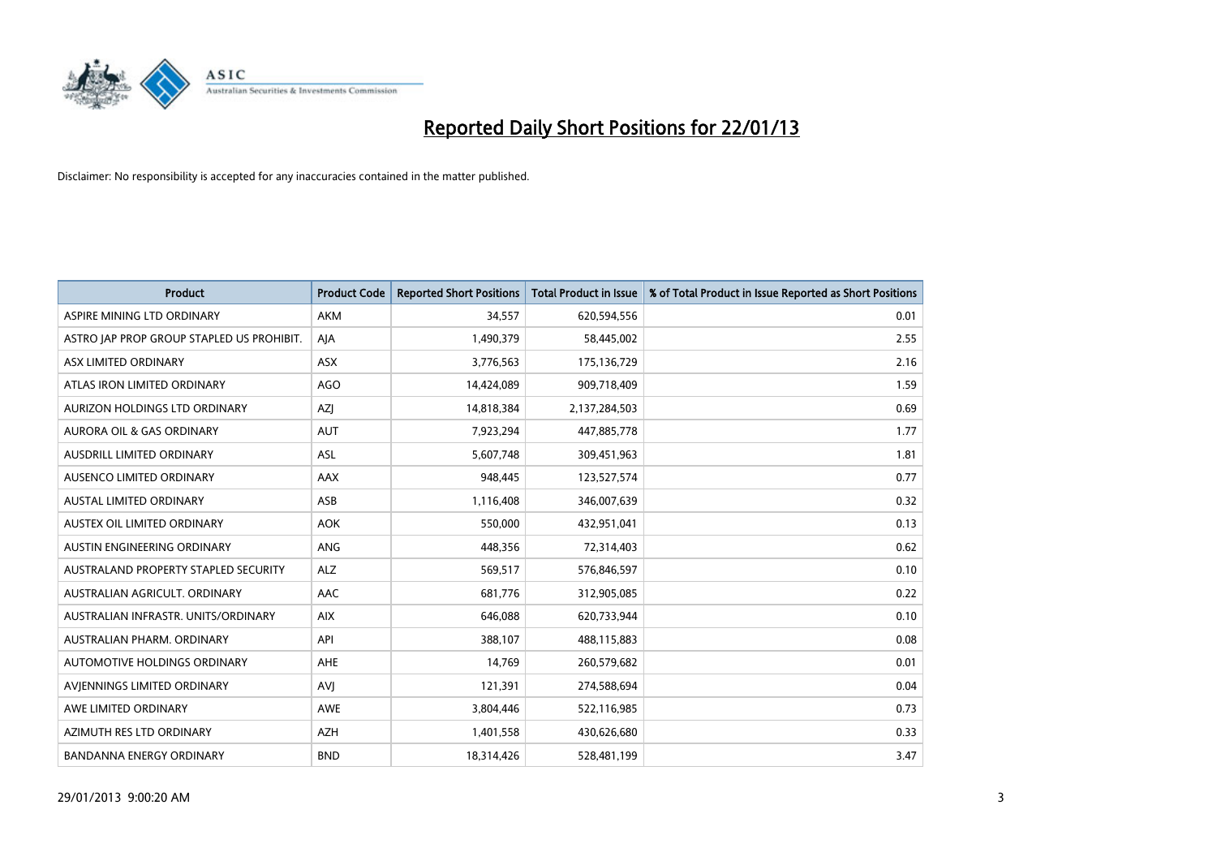

| <b>Product</b>                              | <b>Product Code</b> | <b>Reported Short Positions</b> | <b>Total Product in Issue</b> | % of Total Product in Issue Reported as Short Positions |
|---------------------------------------------|---------------------|---------------------------------|-------------------------------|---------------------------------------------------------|
| ASPIRE MINING LTD ORDINARY                  | <b>AKM</b>          | 34,557                          | 620,594,556                   | 0.01                                                    |
| ASTRO JAP PROP GROUP STAPLED US PROHIBIT.   | AJA                 | 1,490,379                       | 58,445,002                    | 2.55                                                    |
| ASX LIMITED ORDINARY                        | <b>ASX</b>          | 3,776,563                       | 175,136,729                   | 2.16                                                    |
| ATLAS IRON LIMITED ORDINARY                 | AGO                 | 14,424,089                      | 909,718,409                   | 1.59                                                    |
| AURIZON HOLDINGS LTD ORDINARY               | <b>AZI</b>          | 14,818,384                      | 2,137,284,503                 | 0.69                                                    |
| <b>AURORA OIL &amp; GAS ORDINARY</b>        | <b>AUT</b>          | 7,923,294                       | 447,885,778                   | 1.77                                                    |
| AUSDRILL LIMITED ORDINARY                   | <b>ASL</b>          | 5,607,748                       | 309,451,963                   | 1.81                                                    |
| AUSENCO LIMITED ORDINARY                    | <b>AAX</b>          | 948,445                         | 123,527,574                   | 0.77                                                    |
| AUSTAL LIMITED ORDINARY                     | ASB                 | 1,116,408                       | 346,007,639                   | 0.32                                                    |
| AUSTEX OIL LIMITED ORDINARY                 | <b>AOK</b>          | 550,000                         | 432,951,041                   | 0.13                                                    |
| AUSTIN ENGINEERING ORDINARY                 | ANG                 | 448,356                         | 72,314,403                    | 0.62                                                    |
| <b>AUSTRALAND PROPERTY STAPLED SECURITY</b> | <b>ALZ</b>          | 569,517                         | 576,846,597                   | 0.10                                                    |
| AUSTRALIAN AGRICULT. ORDINARY               | AAC                 | 681,776                         | 312,905,085                   | 0.22                                                    |
| AUSTRALIAN INFRASTR, UNITS/ORDINARY         | <b>AIX</b>          | 646,088                         | 620,733,944                   | 0.10                                                    |
| AUSTRALIAN PHARM, ORDINARY                  | API                 | 388,107                         | 488,115,883                   | 0.08                                                    |
| AUTOMOTIVE HOLDINGS ORDINARY                | AHE                 | 14,769                          | 260,579,682                   | 0.01                                                    |
| AVIENNINGS LIMITED ORDINARY                 | AVI                 | 121,391                         | 274,588,694                   | 0.04                                                    |
| AWE LIMITED ORDINARY                        | <b>AWE</b>          | 3,804,446                       | 522,116,985                   | 0.73                                                    |
| AZIMUTH RES LTD ORDINARY                    | <b>AZH</b>          | 1,401,558                       | 430,626,680                   | 0.33                                                    |
| <b>BANDANNA ENERGY ORDINARY</b>             | <b>BND</b>          | 18,314,426                      | 528,481,199                   | 3.47                                                    |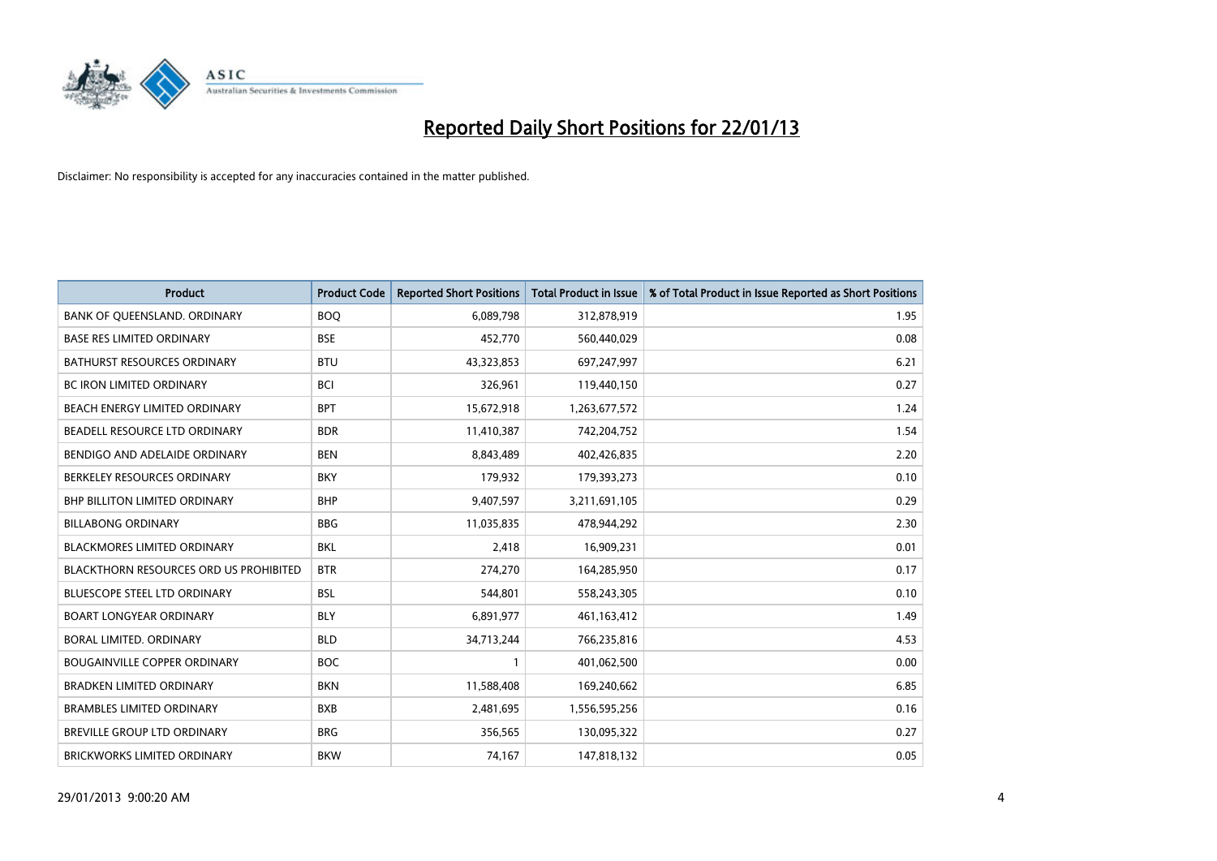

| <b>Product</b>                                | <b>Product Code</b> | <b>Reported Short Positions</b> | <b>Total Product in Issue</b> | % of Total Product in Issue Reported as Short Positions |
|-----------------------------------------------|---------------------|---------------------------------|-------------------------------|---------------------------------------------------------|
| BANK OF QUEENSLAND. ORDINARY                  | <b>BOO</b>          | 6,089,798                       | 312,878,919                   | 1.95                                                    |
| <b>BASE RES LIMITED ORDINARY</b>              | <b>BSE</b>          | 452,770                         | 560,440,029                   | 0.08                                                    |
| <b>BATHURST RESOURCES ORDINARY</b>            | <b>BTU</b>          | 43,323,853                      | 697,247,997                   | 6.21                                                    |
| <b>BC IRON LIMITED ORDINARY</b>               | <b>BCI</b>          | 326,961                         | 119,440,150                   | 0.27                                                    |
| BEACH ENERGY LIMITED ORDINARY                 | <b>BPT</b>          | 15,672,918                      | 1,263,677,572                 | 1.24                                                    |
| BEADELL RESOURCE LTD ORDINARY                 | <b>BDR</b>          | 11,410,387                      | 742,204,752                   | 1.54                                                    |
| BENDIGO AND ADELAIDE ORDINARY                 | <b>BEN</b>          | 8,843,489                       | 402,426,835                   | 2.20                                                    |
| BERKELEY RESOURCES ORDINARY                   | <b>BKY</b>          | 179,932                         | 179,393,273                   | 0.10                                                    |
| <b>BHP BILLITON LIMITED ORDINARY</b>          | <b>BHP</b>          | 9,407,597                       | 3,211,691,105                 | 0.29                                                    |
| <b>BILLABONG ORDINARY</b>                     | <b>BBG</b>          | 11,035,835                      | 478,944,292                   | 2.30                                                    |
| BLACKMORES LIMITED ORDINARY                   | <b>BKL</b>          | 2,418                           | 16,909,231                    | 0.01                                                    |
| <b>BLACKTHORN RESOURCES ORD US PROHIBITED</b> | <b>BTR</b>          | 274,270                         | 164,285,950                   | 0.17                                                    |
| BLUESCOPE STEEL LTD ORDINARY                  | <b>BSL</b>          | 544,801                         | 558,243,305                   | 0.10                                                    |
| <b>BOART LONGYEAR ORDINARY</b>                | <b>BLY</b>          | 6,891,977                       | 461,163,412                   | 1.49                                                    |
| BORAL LIMITED, ORDINARY                       | <b>BLD</b>          | 34,713,244                      | 766,235,816                   | 4.53                                                    |
| <b>BOUGAINVILLE COPPER ORDINARY</b>           | <b>BOC</b>          |                                 | 401,062,500                   | 0.00                                                    |
| <b>BRADKEN LIMITED ORDINARY</b>               | <b>BKN</b>          | 11,588,408                      | 169,240,662                   | 6.85                                                    |
| <b>BRAMBLES LIMITED ORDINARY</b>              | <b>BXB</b>          | 2,481,695                       | 1,556,595,256                 | 0.16                                                    |
| <b>BREVILLE GROUP LTD ORDINARY</b>            | <b>BRG</b>          | 356,565                         | 130,095,322                   | 0.27                                                    |
| BRICKWORKS LIMITED ORDINARY                   | <b>BKW</b>          | 74,167                          | 147,818,132                   | 0.05                                                    |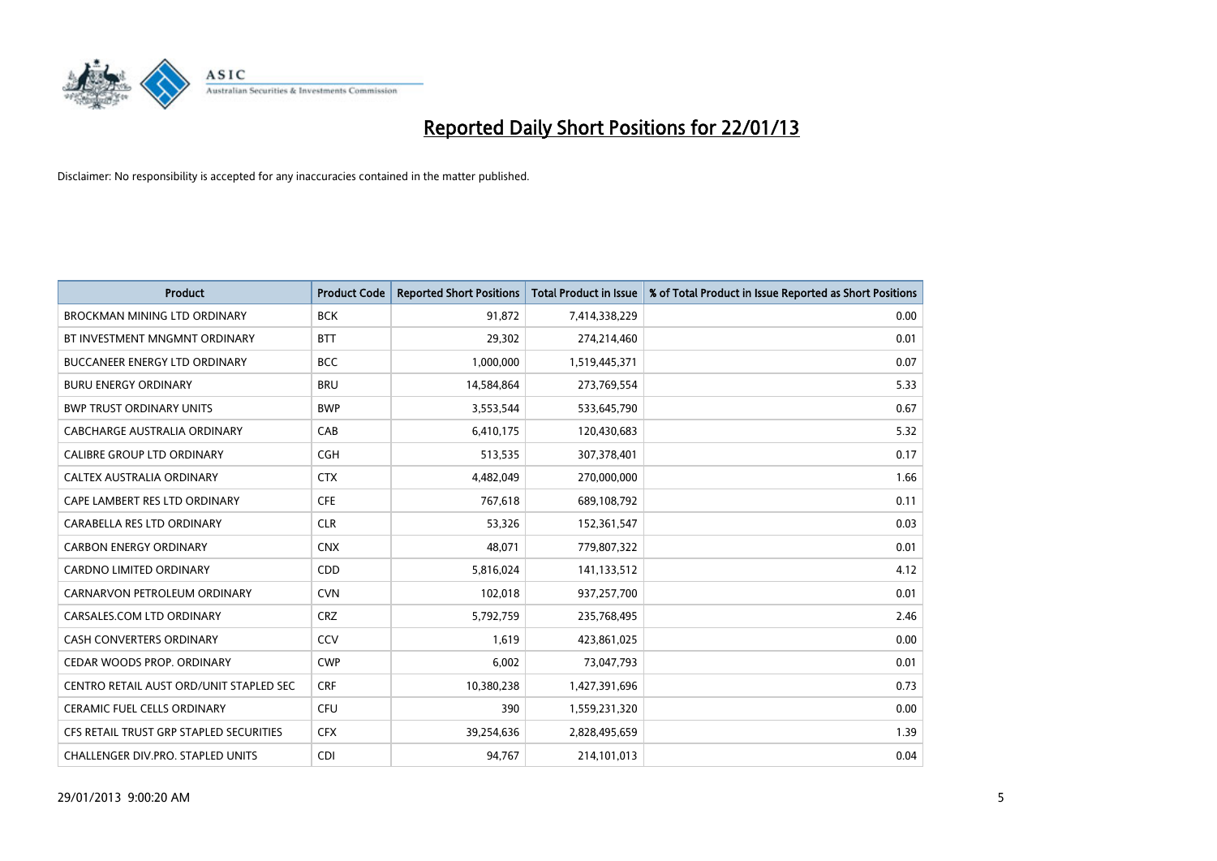

| <b>Product</b>                           | <b>Product Code</b> | <b>Reported Short Positions</b> | <b>Total Product in Issue</b> | % of Total Product in Issue Reported as Short Positions |
|------------------------------------------|---------------------|---------------------------------|-------------------------------|---------------------------------------------------------|
| <b>BROCKMAN MINING LTD ORDINARY</b>      | <b>BCK</b>          | 91,872                          | 7,414,338,229                 | 0.00                                                    |
| BT INVESTMENT MNGMNT ORDINARY            | <b>BTT</b>          | 29,302                          | 274,214,460                   | 0.01                                                    |
| <b>BUCCANEER ENERGY LTD ORDINARY</b>     | <b>BCC</b>          | 1,000,000                       | 1,519,445,371                 | 0.07                                                    |
| <b>BURU ENERGY ORDINARY</b>              | <b>BRU</b>          | 14,584,864                      | 273,769,554                   | 5.33                                                    |
| <b>BWP TRUST ORDINARY UNITS</b>          | <b>BWP</b>          | 3,553,544                       | 533,645,790                   | 0.67                                                    |
| CABCHARGE AUSTRALIA ORDINARY             | CAB                 | 6,410,175                       | 120,430,683                   | 5.32                                                    |
| <b>CALIBRE GROUP LTD ORDINARY</b>        | <b>CGH</b>          | 513,535                         | 307,378,401                   | 0.17                                                    |
| CALTEX AUSTRALIA ORDINARY                | <b>CTX</b>          | 4,482,049                       | 270,000,000                   | 1.66                                                    |
| CAPE LAMBERT RES LTD ORDINARY            | <b>CFE</b>          | 767,618                         | 689,108,792                   | 0.11                                                    |
| CARABELLA RES LTD ORDINARY               | <b>CLR</b>          | 53,326                          | 152,361,547                   | 0.03                                                    |
| <b>CARBON ENERGY ORDINARY</b>            | <b>CNX</b>          | 48,071                          | 779,807,322                   | 0.01                                                    |
| <b>CARDNO LIMITED ORDINARY</b>           | CDD                 | 5,816,024                       | 141,133,512                   | 4.12                                                    |
| CARNARVON PETROLEUM ORDINARY             | <b>CVN</b>          | 102,018                         | 937,257,700                   | 0.01                                                    |
| CARSALES.COM LTD ORDINARY                | <b>CRZ</b>          | 5,792,759                       | 235,768,495                   | 2.46                                                    |
| CASH CONVERTERS ORDINARY                 | CCV                 | 1,619                           | 423,861,025                   | 0.00                                                    |
| CEDAR WOODS PROP. ORDINARY               | <b>CWP</b>          | 6,002                           | 73,047,793                    | 0.01                                                    |
| CENTRO RETAIL AUST ORD/UNIT STAPLED SEC  | <b>CRF</b>          | 10,380,238                      | 1,427,391,696                 | 0.73                                                    |
| <b>CERAMIC FUEL CELLS ORDINARY</b>       | <b>CFU</b>          | 390                             | 1,559,231,320                 | 0.00                                                    |
| CFS RETAIL TRUST GRP STAPLED SECURITIES  | <b>CFX</b>          | 39,254,636                      | 2,828,495,659                 | 1.39                                                    |
| <b>CHALLENGER DIV.PRO. STAPLED UNITS</b> | <b>CDI</b>          | 94,767                          | 214,101,013                   | 0.04                                                    |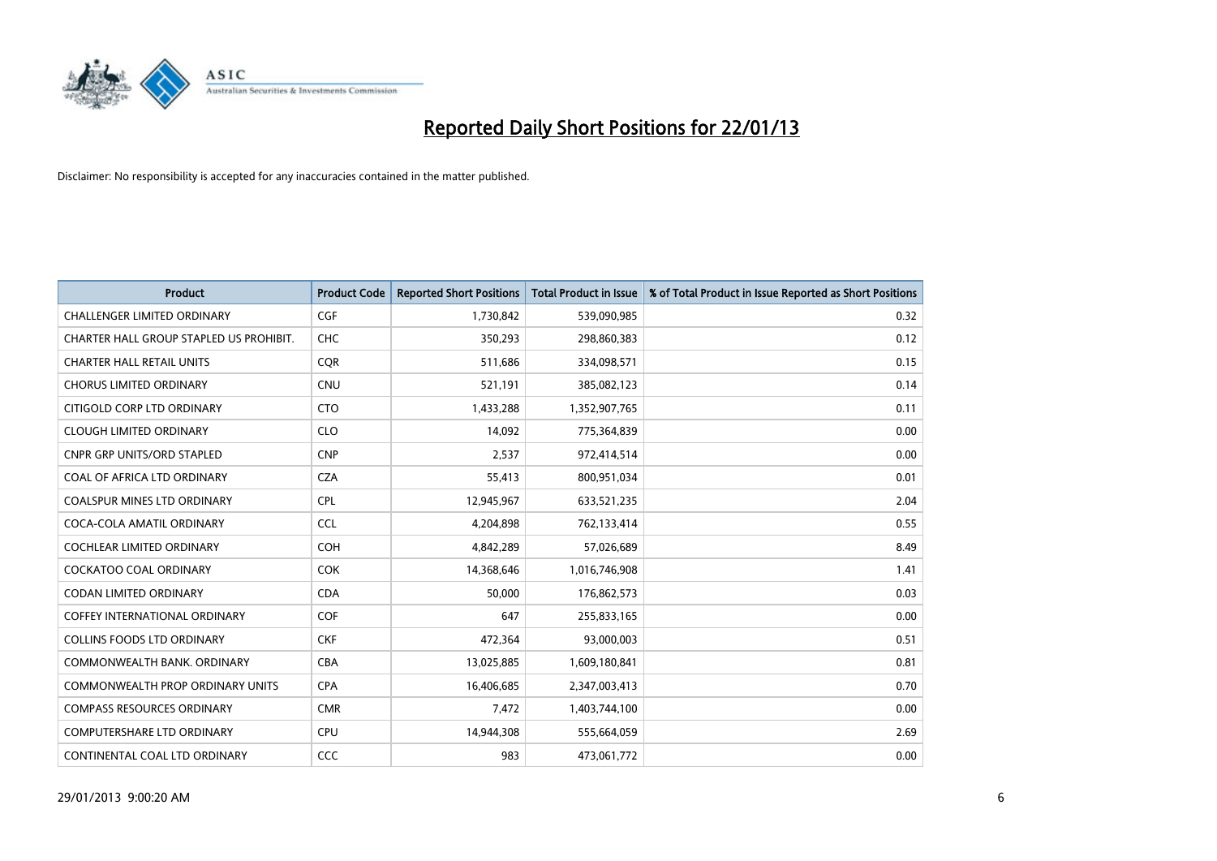

| <b>Product</b>                          | <b>Product Code</b> | <b>Reported Short Positions</b> | <b>Total Product in Issue</b> | % of Total Product in Issue Reported as Short Positions |
|-----------------------------------------|---------------------|---------------------------------|-------------------------------|---------------------------------------------------------|
| <b>CHALLENGER LIMITED ORDINARY</b>      | <b>CGF</b>          | 1,730,842                       | 539,090,985                   | 0.32                                                    |
| CHARTER HALL GROUP STAPLED US PROHIBIT. | <b>CHC</b>          | 350,293                         | 298,860,383                   | 0.12                                                    |
| <b>CHARTER HALL RETAIL UNITS</b>        | <b>COR</b>          | 511,686                         | 334,098,571                   | 0.15                                                    |
| <b>CHORUS LIMITED ORDINARY</b>          | <b>CNU</b>          | 521,191                         | 385,082,123                   | 0.14                                                    |
| CITIGOLD CORP LTD ORDINARY              | <b>CTO</b>          | 1,433,288                       | 1,352,907,765                 | 0.11                                                    |
| <b>CLOUGH LIMITED ORDINARY</b>          | <b>CLO</b>          | 14,092                          | 775,364,839                   | 0.00                                                    |
| <b>CNPR GRP UNITS/ORD STAPLED</b>       | <b>CNP</b>          | 2,537                           | 972,414,514                   | 0.00                                                    |
| COAL OF AFRICA LTD ORDINARY             | <b>CZA</b>          | 55,413                          | 800,951,034                   | 0.01                                                    |
| <b>COALSPUR MINES LTD ORDINARY</b>      | <b>CPL</b>          | 12,945,967                      | 633,521,235                   | 2.04                                                    |
| COCA-COLA AMATIL ORDINARY               | <b>CCL</b>          | 4,204,898                       | 762,133,414                   | 0.55                                                    |
| COCHLEAR LIMITED ORDINARY               | <b>COH</b>          | 4,842,289                       | 57,026,689                    | 8.49                                                    |
| COCKATOO COAL ORDINARY                  | <b>COK</b>          | 14,368,646                      | 1,016,746,908                 | 1.41                                                    |
| <b>CODAN LIMITED ORDINARY</b>           | <b>CDA</b>          | 50,000                          | 176,862,573                   | 0.03                                                    |
| <b>COFFEY INTERNATIONAL ORDINARY</b>    | <b>COF</b>          | 647                             | 255,833,165                   | 0.00                                                    |
| <b>COLLINS FOODS LTD ORDINARY</b>       | <b>CKF</b>          | 472,364                         | 93,000,003                    | 0.51                                                    |
| COMMONWEALTH BANK, ORDINARY             | <b>CBA</b>          | 13,025,885                      | 1,609,180,841                 | 0.81                                                    |
| <b>COMMONWEALTH PROP ORDINARY UNITS</b> | <b>CPA</b>          | 16,406,685                      | 2,347,003,413                 | 0.70                                                    |
| <b>COMPASS RESOURCES ORDINARY</b>       | <b>CMR</b>          | 7,472                           | 1,403,744,100                 | 0.00                                                    |
| <b>COMPUTERSHARE LTD ORDINARY</b>       | <b>CPU</b>          | 14,944,308                      | 555,664,059                   | 2.69                                                    |
| CONTINENTAL COAL LTD ORDINARY           | CCC                 | 983                             | 473,061,772                   | 0.00                                                    |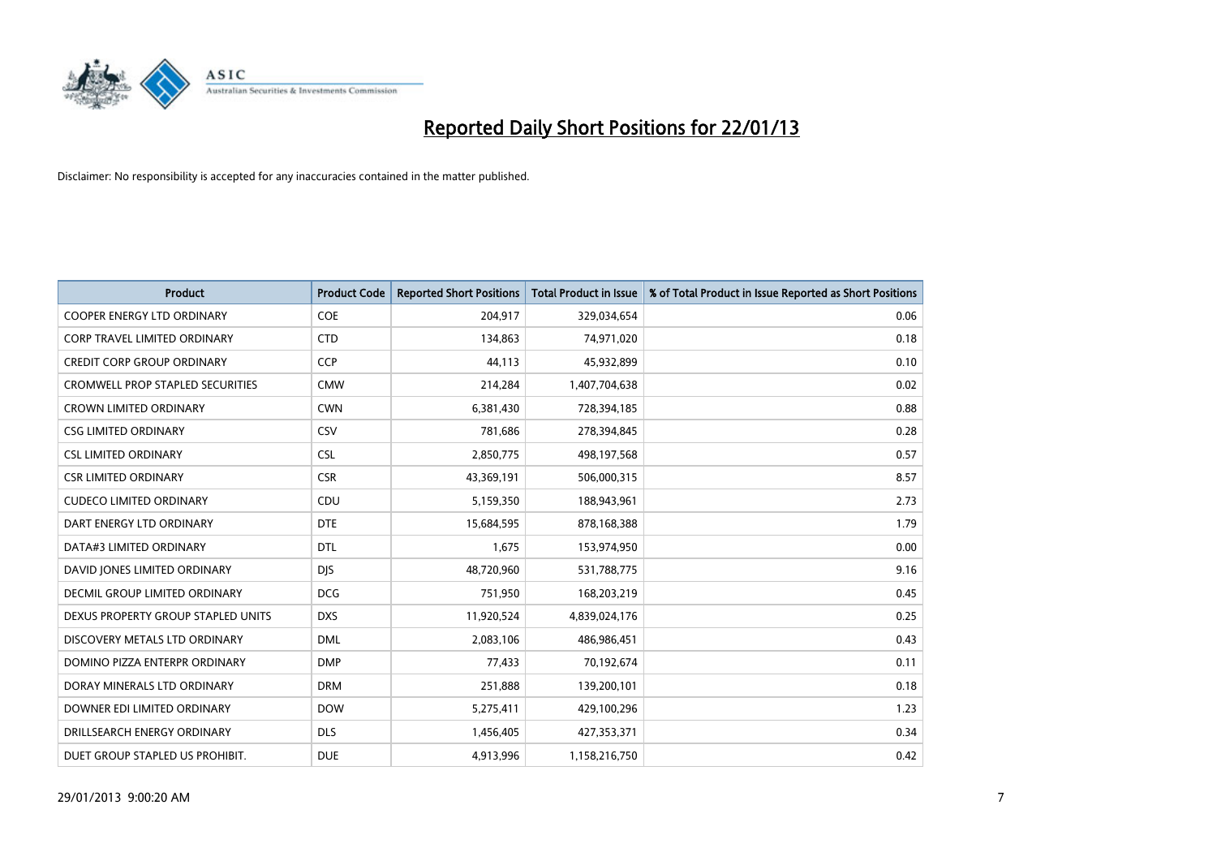

| <b>Product</b>                          | <b>Product Code</b> | <b>Reported Short Positions</b> | <b>Total Product in Issue</b> | % of Total Product in Issue Reported as Short Positions |
|-----------------------------------------|---------------------|---------------------------------|-------------------------------|---------------------------------------------------------|
| <b>COOPER ENERGY LTD ORDINARY</b>       | COE                 | 204,917                         | 329,034,654                   | 0.06                                                    |
| <b>CORP TRAVEL LIMITED ORDINARY</b>     | <b>CTD</b>          | 134,863                         | 74,971,020                    | 0.18                                                    |
| <b>CREDIT CORP GROUP ORDINARY</b>       | <b>CCP</b>          | 44,113                          | 45,932,899                    | 0.10                                                    |
| <b>CROMWELL PROP STAPLED SECURITIES</b> | <b>CMW</b>          | 214,284                         | 1,407,704,638                 | 0.02                                                    |
| <b>CROWN LIMITED ORDINARY</b>           | <b>CWN</b>          | 6,381,430                       | 728,394,185                   | 0.88                                                    |
| <b>CSG LIMITED ORDINARY</b>             | CSV                 | 781,686                         | 278,394,845                   | 0.28                                                    |
| <b>CSL LIMITED ORDINARY</b>             | <b>CSL</b>          | 2,850,775                       | 498,197,568                   | 0.57                                                    |
| <b>CSR LIMITED ORDINARY</b>             | <b>CSR</b>          | 43,369,191                      | 506,000,315                   | 8.57                                                    |
| <b>CUDECO LIMITED ORDINARY</b>          | CDU                 | 5,159,350                       | 188,943,961                   | 2.73                                                    |
| DART ENERGY LTD ORDINARY                | <b>DTE</b>          | 15,684,595                      | 878,168,388                   | 1.79                                                    |
| DATA#3 LIMITED ORDINARY                 | <b>DTL</b>          | 1,675                           | 153,974,950                   | 0.00                                                    |
| DAVID JONES LIMITED ORDINARY            | <b>DJS</b>          | 48,720,960                      | 531,788,775                   | 9.16                                                    |
| <b>DECMIL GROUP LIMITED ORDINARY</b>    | <b>DCG</b>          | 751,950                         | 168,203,219                   | 0.45                                                    |
| DEXUS PROPERTY GROUP STAPLED UNITS      | <b>DXS</b>          | 11,920,524                      | 4,839,024,176                 | 0.25                                                    |
| DISCOVERY METALS LTD ORDINARY           | <b>DML</b>          | 2,083,106                       | 486,986,451                   | 0.43                                                    |
| DOMINO PIZZA ENTERPR ORDINARY           | <b>DMP</b>          | 77,433                          | 70,192,674                    | 0.11                                                    |
| DORAY MINERALS LTD ORDINARY             | <b>DRM</b>          | 251,888                         | 139,200,101                   | 0.18                                                    |
| DOWNER EDI LIMITED ORDINARY             | <b>DOW</b>          | 5,275,411                       | 429,100,296                   | 1.23                                                    |
| DRILLSEARCH ENERGY ORDINARY             | <b>DLS</b>          | 1,456,405                       | 427,353,371                   | 0.34                                                    |
| DUET GROUP STAPLED US PROHIBIT.         | <b>DUE</b>          | 4,913,996                       | 1,158,216,750                 | 0.42                                                    |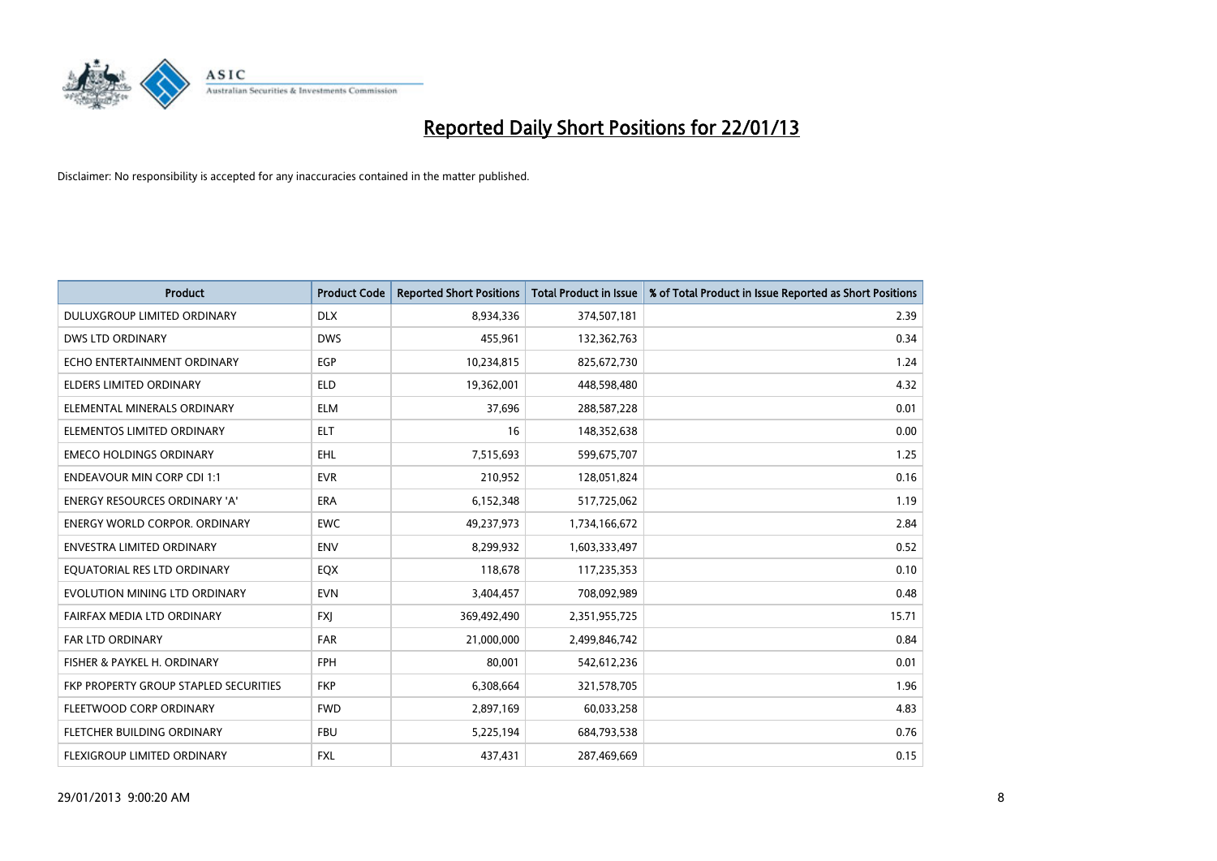

| <b>Product</b>                        | <b>Product Code</b> | <b>Reported Short Positions</b> | <b>Total Product in Issue</b> | % of Total Product in Issue Reported as Short Positions |
|---------------------------------------|---------------------|---------------------------------|-------------------------------|---------------------------------------------------------|
| DULUXGROUP LIMITED ORDINARY           | <b>DLX</b>          | 8,934,336                       | 374,507,181                   | 2.39                                                    |
| <b>DWS LTD ORDINARY</b>               | <b>DWS</b>          | 455,961                         | 132,362,763                   | 0.34                                                    |
| ECHO ENTERTAINMENT ORDINARY           | EGP                 | 10,234,815                      | 825,672,730                   | 1.24                                                    |
| ELDERS LIMITED ORDINARY               | <b>ELD</b>          | 19,362,001                      | 448,598,480                   | 4.32                                                    |
| ELEMENTAL MINERALS ORDINARY           | <b>ELM</b>          | 37.696                          | 288,587,228                   | 0.01                                                    |
| ELEMENTOS LIMITED ORDINARY            | <b>ELT</b>          | 16                              | 148,352,638                   | 0.00                                                    |
| <b>EMECO HOLDINGS ORDINARY</b>        | <b>EHL</b>          | 7,515,693                       | 599,675,707                   | 1.25                                                    |
| <b>ENDEAVOUR MIN CORP CDI 1:1</b>     | <b>EVR</b>          | 210,952                         | 128,051,824                   | 0.16                                                    |
| ENERGY RESOURCES ORDINARY 'A'         | <b>ERA</b>          | 6,152,348                       | 517,725,062                   | 1.19                                                    |
| <b>ENERGY WORLD CORPOR, ORDINARY</b>  | <b>EWC</b>          | 49,237,973                      | 1,734,166,672                 | 2.84                                                    |
| <b>ENVESTRA LIMITED ORDINARY</b>      | <b>ENV</b>          | 8,299,932                       | 1,603,333,497                 | 0.52                                                    |
| EQUATORIAL RES LTD ORDINARY           | EQX                 | 118,678                         | 117,235,353                   | 0.10                                                    |
| EVOLUTION MINING LTD ORDINARY         | <b>EVN</b>          | 3,404,457                       | 708,092,989                   | 0.48                                                    |
| FAIRFAX MEDIA LTD ORDINARY            | <b>FXI</b>          | 369,492,490                     | 2,351,955,725                 | 15.71                                                   |
| FAR LTD ORDINARY                      | <b>FAR</b>          | 21,000,000                      | 2,499,846,742                 | 0.84                                                    |
| FISHER & PAYKEL H. ORDINARY           | <b>FPH</b>          | 80,001                          | 542,612,236                   | 0.01                                                    |
| FKP PROPERTY GROUP STAPLED SECURITIES | <b>FKP</b>          | 6,308,664                       | 321,578,705                   | 1.96                                                    |
| FLEETWOOD CORP ORDINARY               | <b>FWD</b>          | 2,897,169                       | 60,033,258                    | 4.83                                                    |
| FLETCHER BUILDING ORDINARY            | <b>FBU</b>          | 5,225,194                       | 684,793,538                   | 0.76                                                    |
| <b>FLEXIGROUP LIMITED ORDINARY</b>    | <b>FXL</b>          | 437,431                         | 287,469,669                   | 0.15                                                    |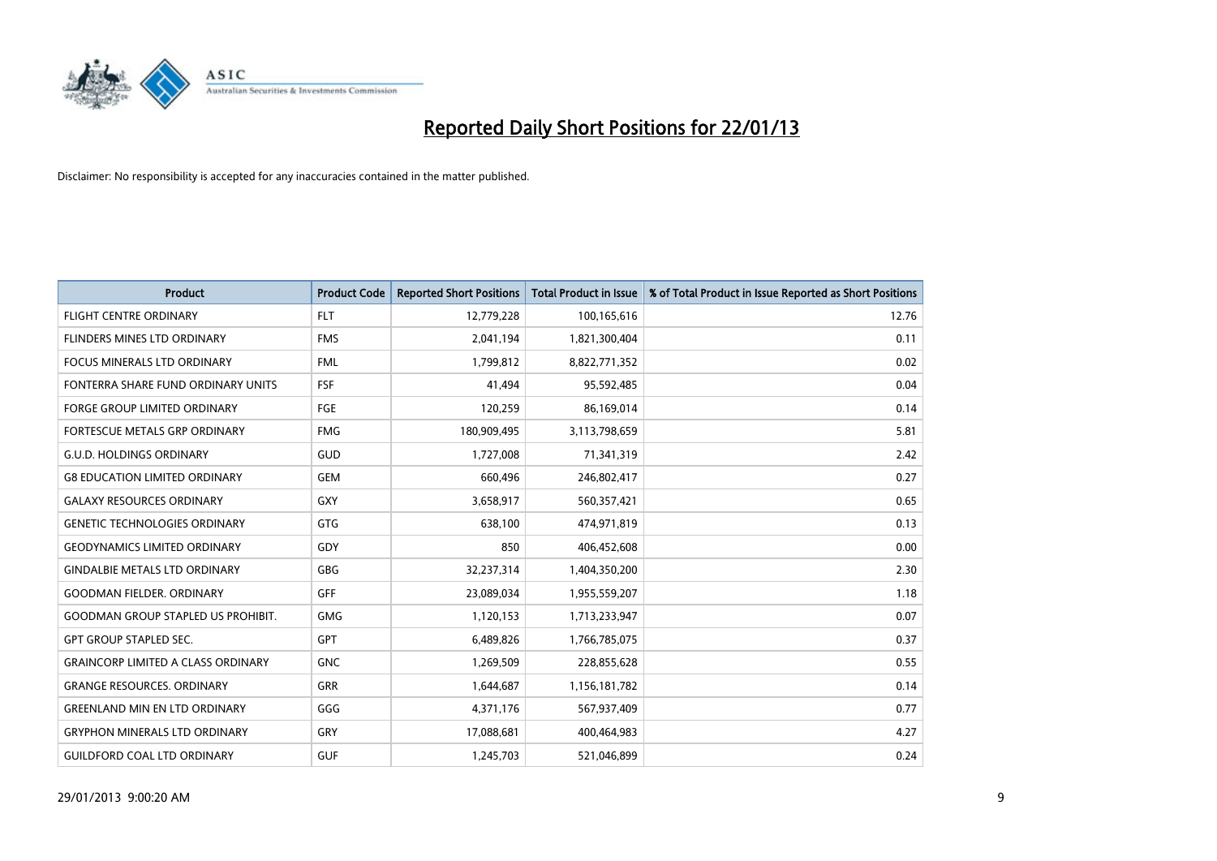

| <b>Product</b>                            | <b>Product Code</b> | <b>Reported Short Positions</b> | <b>Total Product in Issue</b> | % of Total Product in Issue Reported as Short Positions |
|-------------------------------------------|---------------------|---------------------------------|-------------------------------|---------------------------------------------------------|
| <b>FLIGHT CENTRE ORDINARY</b>             | <b>FLT</b>          | 12,779,228                      | 100,165,616                   | 12.76                                                   |
| FLINDERS MINES LTD ORDINARY               | <b>FMS</b>          | 2,041,194                       | 1,821,300,404                 | 0.11                                                    |
| <b>FOCUS MINERALS LTD ORDINARY</b>        | <b>FML</b>          | 1,799,812                       | 8,822,771,352                 | 0.02                                                    |
| FONTERRA SHARE FUND ORDINARY UNITS        | <b>FSF</b>          | 41,494                          | 95,592,485                    | 0.04                                                    |
| <b>FORGE GROUP LIMITED ORDINARY</b>       | FGE                 | 120,259                         | 86,169,014                    | 0.14                                                    |
| FORTESCUE METALS GRP ORDINARY             | <b>FMG</b>          | 180,909,495                     | 3,113,798,659                 | 5.81                                                    |
| <b>G.U.D. HOLDINGS ORDINARY</b>           | GUD                 | 1,727,008                       | 71,341,319                    | 2.42                                                    |
| <b>G8 EDUCATION LIMITED ORDINARY</b>      | <b>GEM</b>          | 660,496                         | 246,802,417                   | 0.27                                                    |
| <b>GALAXY RESOURCES ORDINARY</b>          | <b>GXY</b>          | 3,658,917                       | 560,357,421                   | 0.65                                                    |
| <b>GENETIC TECHNOLOGIES ORDINARY</b>      | <b>GTG</b>          | 638,100                         | 474,971,819                   | 0.13                                                    |
| <b>GEODYNAMICS LIMITED ORDINARY</b>       | GDY                 | 850                             | 406,452,608                   | 0.00                                                    |
| <b>GINDALBIE METALS LTD ORDINARY</b>      | <b>GBG</b>          | 32,237,314                      | 1,404,350,200                 | 2.30                                                    |
| <b>GOODMAN FIELDER, ORDINARY</b>          | GFF                 | 23,089,034                      | 1,955,559,207                 | 1.18                                                    |
| <b>GOODMAN GROUP STAPLED US PROHIBIT.</b> | <b>GMG</b>          | 1,120,153                       | 1,713,233,947                 | 0.07                                                    |
| <b>GPT GROUP STAPLED SEC.</b>             | <b>GPT</b>          | 6,489,826                       | 1,766,785,075                 | 0.37                                                    |
| <b>GRAINCORP LIMITED A CLASS ORDINARY</b> | <b>GNC</b>          | 1,269,509                       | 228,855,628                   | 0.55                                                    |
| <b>GRANGE RESOURCES, ORDINARY</b>         | <b>GRR</b>          | 1,644,687                       | 1,156,181,782                 | 0.14                                                    |
| <b>GREENLAND MIN EN LTD ORDINARY</b>      | GGG                 | 4,371,176                       | 567,937,409                   | 0.77                                                    |
| <b>GRYPHON MINERALS LTD ORDINARY</b>      | GRY                 | 17,088,681                      | 400,464,983                   | 4.27                                                    |
| <b>GUILDFORD COAL LTD ORDINARY</b>        | <b>GUF</b>          | 1,245,703                       | 521,046,899                   | 0.24                                                    |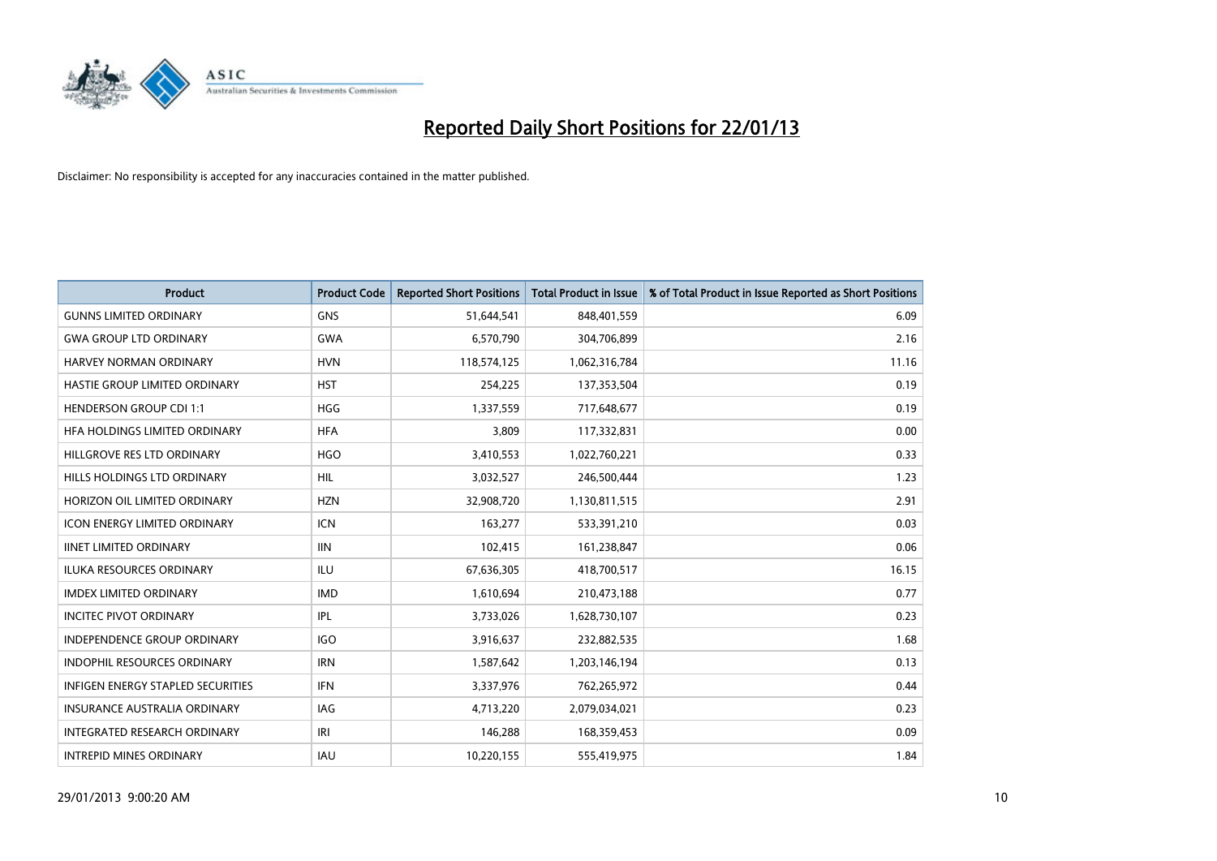

| <b>Product</b>                      | <b>Product Code</b> | <b>Reported Short Positions</b> | <b>Total Product in Issue</b> | % of Total Product in Issue Reported as Short Positions |
|-------------------------------------|---------------------|---------------------------------|-------------------------------|---------------------------------------------------------|
| <b>GUNNS LIMITED ORDINARY</b>       | <b>GNS</b>          | 51,644,541                      | 848,401,559                   | 6.09                                                    |
| <b>GWA GROUP LTD ORDINARY</b>       | <b>GWA</b>          | 6,570,790                       | 304,706,899                   | 2.16                                                    |
| <b>HARVEY NORMAN ORDINARY</b>       | <b>HVN</b>          | 118,574,125                     | 1,062,316,784                 | 11.16                                                   |
| HASTIE GROUP LIMITED ORDINARY       | <b>HST</b>          | 254,225                         | 137,353,504                   | 0.19                                                    |
| <b>HENDERSON GROUP CDI 1:1</b>      | <b>HGG</b>          | 1,337,559                       | 717,648,677                   | 0.19                                                    |
| HFA HOLDINGS LIMITED ORDINARY       | <b>HFA</b>          | 3,809                           | 117,332,831                   | 0.00                                                    |
| HILLGROVE RES LTD ORDINARY          | <b>HGO</b>          | 3,410,553                       | 1,022,760,221                 | 0.33                                                    |
| HILLS HOLDINGS LTD ORDINARY         | <b>HIL</b>          | 3,032,527                       | 246,500,444                   | 1.23                                                    |
| HORIZON OIL LIMITED ORDINARY        | <b>HZN</b>          | 32,908,720                      | 1,130,811,515                 | 2.91                                                    |
| <b>ICON ENERGY LIMITED ORDINARY</b> | <b>ICN</b>          | 163,277                         | 533,391,210                   | 0.03                                                    |
| <b>IINET LIMITED ORDINARY</b>       | <b>IIN</b>          | 102,415                         | 161,238,847                   | 0.06                                                    |
| <b>ILUKA RESOURCES ORDINARY</b>     | ILU                 | 67,636,305                      | 418,700,517                   | 16.15                                                   |
| <b>IMDEX LIMITED ORDINARY</b>       | <b>IMD</b>          | 1,610,694                       | 210,473,188                   | 0.77                                                    |
| <b>INCITEC PIVOT ORDINARY</b>       | IPL                 | 3,733,026                       | 1,628,730,107                 | 0.23                                                    |
| <b>INDEPENDENCE GROUP ORDINARY</b>  | <b>IGO</b>          | 3,916,637                       | 232,882,535                   | 1.68                                                    |
| INDOPHIL RESOURCES ORDINARY         | <b>IRN</b>          | 1,587,642                       | 1,203,146,194                 | 0.13                                                    |
| INFIGEN ENERGY STAPLED SECURITIES   | <b>IFN</b>          | 3,337,976                       | 762,265,972                   | 0.44                                                    |
| INSURANCE AUSTRALIA ORDINARY        | IAG                 | 4,713,220                       | 2,079,034,021                 | 0.23                                                    |
| <b>INTEGRATED RESEARCH ORDINARY</b> | IRI                 | 146,288                         | 168,359,453                   | 0.09                                                    |
| <b>INTREPID MINES ORDINARY</b>      | <b>IAU</b>          | 10,220,155                      | 555,419,975                   | 1.84                                                    |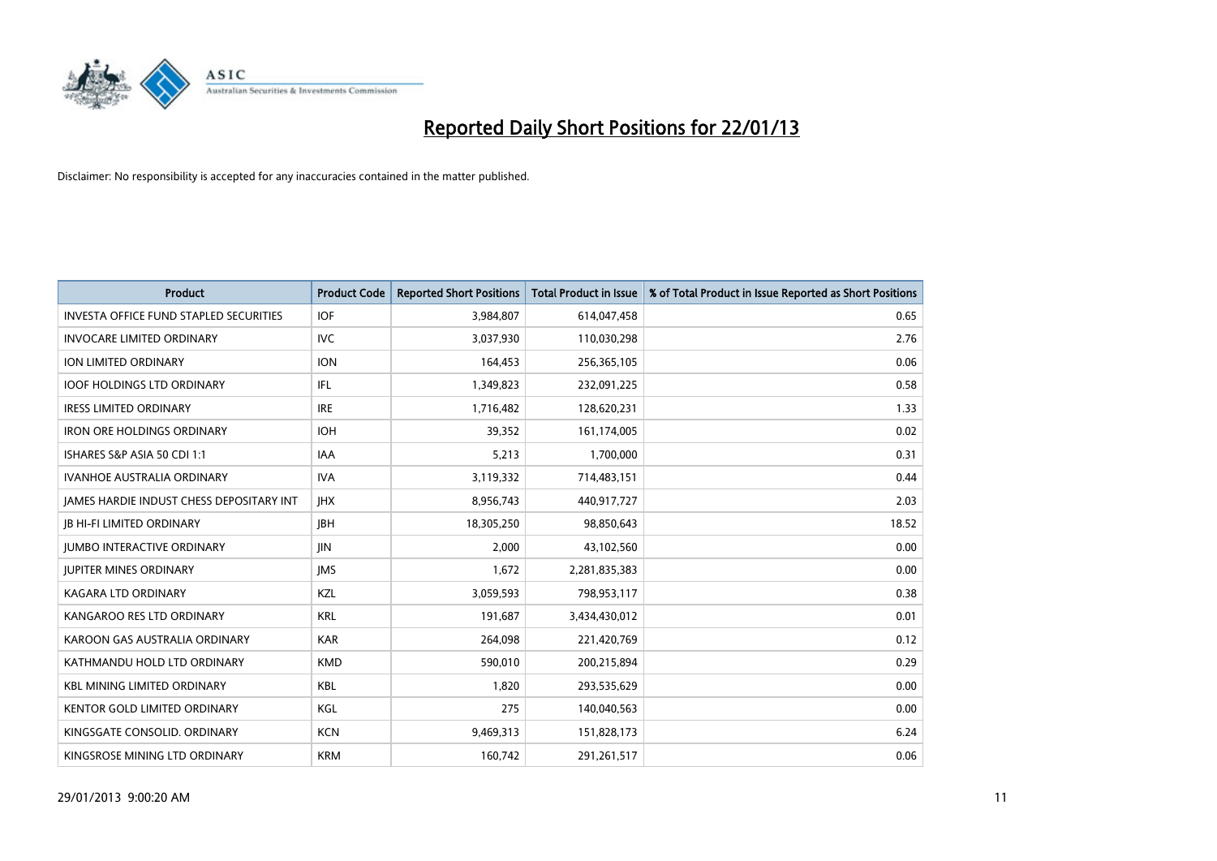

| <b>Product</b>                                | <b>Product Code</b> | <b>Reported Short Positions</b> | <b>Total Product in Issue</b> | % of Total Product in Issue Reported as Short Positions |
|-----------------------------------------------|---------------------|---------------------------------|-------------------------------|---------------------------------------------------------|
| <b>INVESTA OFFICE FUND STAPLED SECURITIES</b> | <b>IOF</b>          | 3,984,807                       | 614,047,458                   | 0.65                                                    |
| <b>INVOCARE LIMITED ORDINARY</b>              | <b>IVC</b>          | 3,037,930                       | 110,030,298                   | 2.76                                                    |
| <b>ION LIMITED ORDINARY</b>                   | <b>ION</b>          | 164,453                         | 256,365,105                   | 0.06                                                    |
| <b>IOOF HOLDINGS LTD ORDINARY</b>             | <b>IFL</b>          | 1,349,823                       | 232,091,225                   | 0.58                                                    |
| <b>IRESS LIMITED ORDINARY</b>                 | <b>IRE</b>          | 1,716,482                       | 128,620,231                   | 1.33                                                    |
| <b>IRON ORE HOLDINGS ORDINARY</b>             | <b>IOH</b>          | 39,352                          | 161,174,005                   | 0.02                                                    |
| ISHARES S&P ASIA 50 CDI 1:1                   | <b>IAA</b>          | 5,213                           | 1,700,000                     | 0.31                                                    |
| <b>IVANHOE AUSTRALIA ORDINARY</b>             | <b>IVA</b>          | 3,119,332                       | 714,483,151                   | 0.44                                                    |
| JAMES HARDIE INDUST CHESS DEPOSITARY INT      | <b>IHX</b>          | 8,956,743                       | 440,917,727                   | 2.03                                                    |
| <b>IB HI-FI LIMITED ORDINARY</b>              | <b>IBH</b>          | 18,305,250                      | 98,850,643                    | 18.52                                                   |
| <b>JUMBO INTERACTIVE ORDINARY</b>             | <b>JIN</b>          | 2,000                           | 43,102,560                    | 0.00                                                    |
| <b>JUPITER MINES ORDINARY</b>                 | <b>IMS</b>          | 1,672                           | 2,281,835,383                 | 0.00                                                    |
| <b>KAGARA LTD ORDINARY</b>                    | KZL                 | 3,059,593                       | 798,953,117                   | 0.38                                                    |
| KANGAROO RES LTD ORDINARY                     | <b>KRL</b>          | 191,687                         | 3,434,430,012                 | 0.01                                                    |
| KAROON GAS AUSTRALIA ORDINARY                 | <b>KAR</b>          | 264,098                         | 221,420,769                   | 0.12                                                    |
| KATHMANDU HOLD LTD ORDINARY                   | <b>KMD</b>          | 590,010                         | 200,215,894                   | 0.29                                                    |
| <b>KBL MINING LIMITED ORDINARY</b>            | <b>KBL</b>          | 1,820                           | 293,535,629                   | 0.00                                                    |
| KENTOR GOLD LIMITED ORDINARY                  | KGL                 | 275                             | 140,040,563                   | 0.00                                                    |
| KINGSGATE CONSOLID. ORDINARY                  | <b>KCN</b>          | 9,469,313                       | 151,828,173                   | 6.24                                                    |
| KINGSROSE MINING LTD ORDINARY                 | <b>KRM</b>          | 160,742                         | 291,261,517                   | 0.06                                                    |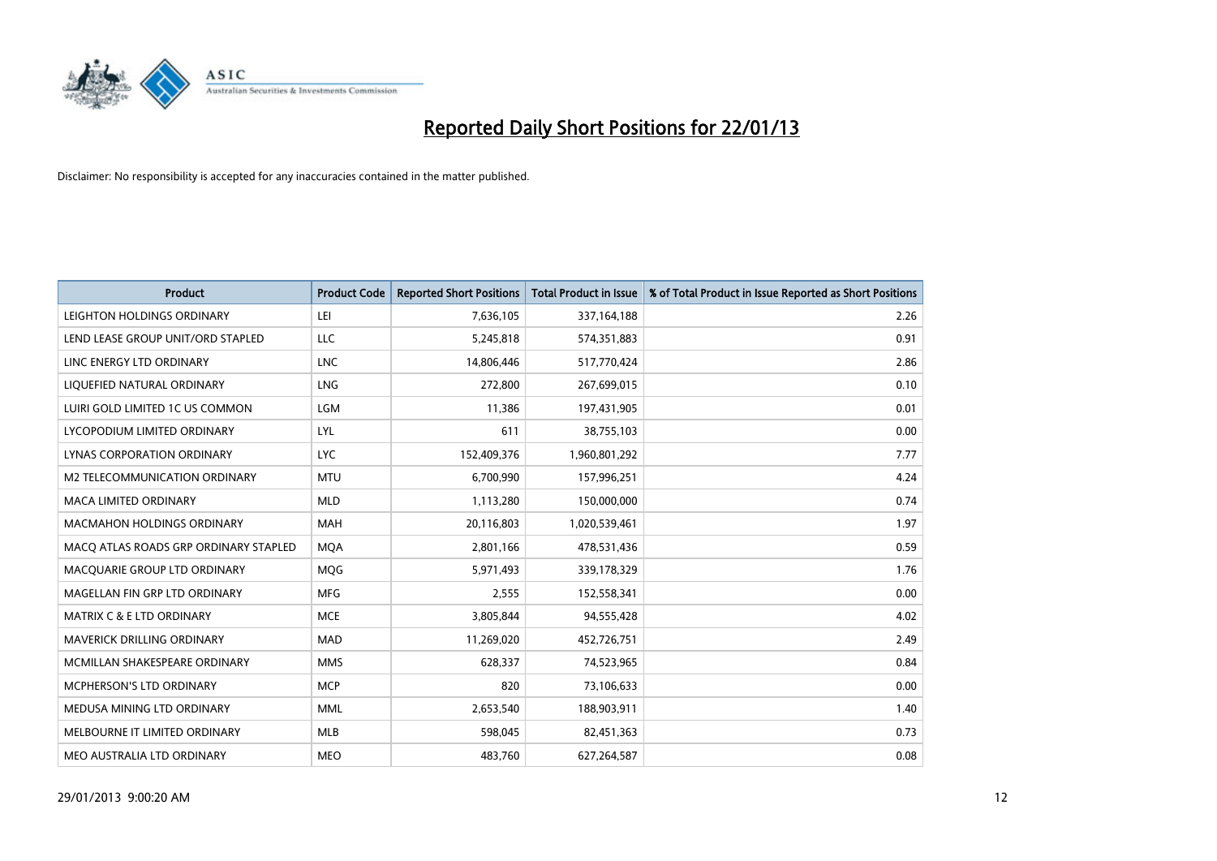

| <b>Product</b>                        | <b>Product Code</b> | <b>Reported Short Positions</b> | <b>Total Product in Issue</b> | % of Total Product in Issue Reported as Short Positions |
|---------------------------------------|---------------------|---------------------------------|-------------------------------|---------------------------------------------------------|
| LEIGHTON HOLDINGS ORDINARY            | LEI                 | 7,636,105                       | 337,164,188                   | 2.26                                                    |
| LEND LEASE GROUP UNIT/ORD STAPLED     | LLC                 | 5,245,818                       | 574,351,883                   | 0.91                                                    |
| LINC ENERGY LTD ORDINARY              | <b>LNC</b>          | 14,806,446                      | 517,770,424                   | 2.86                                                    |
| LIQUEFIED NATURAL ORDINARY            | <b>LNG</b>          | 272,800                         | 267,699,015                   | 0.10                                                    |
| LUIRI GOLD LIMITED 1C US COMMON       | <b>LGM</b>          | 11,386                          | 197,431,905                   | 0.01                                                    |
| LYCOPODIUM LIMITED ORDINARY           | LYL                 | 611                             | 38,755,103                    | 0.00                                                    |
| LYNAS CORPORATION ORDINARY            | <b>LYC</b>          | 152,409,376                     | 1,960,801,292                 | 7.77                                                    |
| M2 TELECOMMUNICATION ORDINARY         | <b>MTU</b>          | 6,700,990                       | 157,996,251                   | 4.24                                                    |
| <b>MACA LIMITED ORDINARY</b>          | <b>MLD</b>          | 1,113,280                       | 150,000,000                   | 0.74                                                    |
| <b>MACMAHON HOLDINGS ORDINARY</b>     | <b>MAH</b>          | 20,116,803                      | 1,020,539,461                 | 1.97                                                    |
| MACO ATLAS ROADS GRP ORDINARY STAPLED | <b>MOA</b>          | 2,801,166                       | 478,531,436                   | 0.59                                                    |
| MACQUARIE GROUP LTD ORDINARY          | <b>MOG</b>          | 5,971,493                       | 339,178,329                   | 1.76                                                    |
| MAGELLAN FIN GRP LTD ORDINARY         | <b>MFG</b>          | 2,555                           | 152,558,341                   | 0.00                                                    |
| <b>MATRIX C &amp; E LTD ORDINARY</b>  | <b>MCE</b>          | 3,805,844                       | 94,555,428                    | 4.02                                                    |
| <b>MAVERICK DRILLING ORDINARY</b>     | <b>MAD</b>          | 11,269,020                      | 452,726,751                   | 2.49                                                    |
| MCMILLAN SHAKESPEARE ORDINARY         | <b>MMS</b>          | 628,337                         | 74,523,965                    | 0.84                                                    |
| MCPHERSON'S LTD ORDINARY              | <b>MCP</b>          | 820                             | 73,106,633                    | 0.00                                                    |
| MEDUSA MINING LTD ORDINARY            | <b>MML</b>          | 2,653,540                       | 188,903,911                   | 1.40                                                    |
| MELBOURNE IT LIMITED ORDINARY         | <b>MLB</b>          | 598,045                         | 82,451,363                    | 0.73                                                    |
| MEO AUSTRALIA LTD ORDINARY            | <b>MEO</b>          | 483,760                         | 627,264,587                   | 0.08                                                    |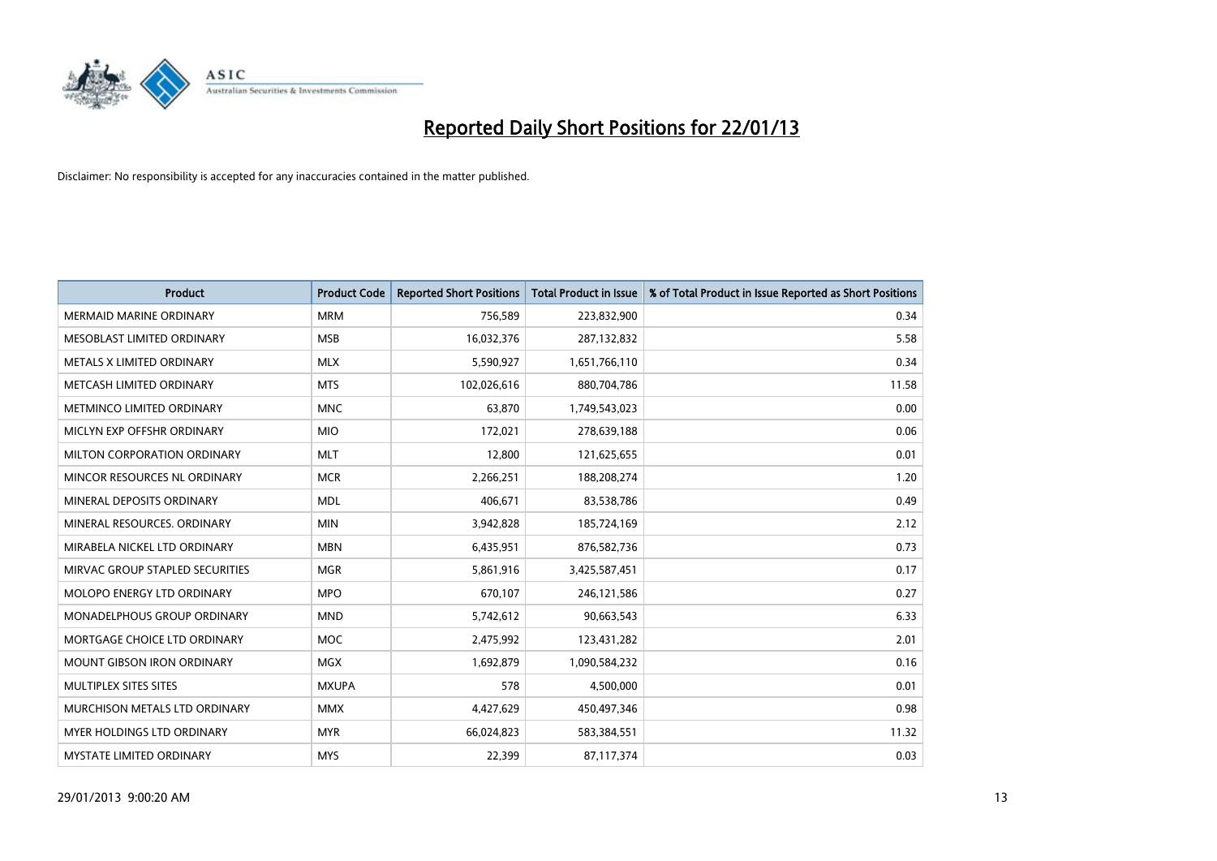

| <b>Product</b>                     | <b>Product Code</b> | <b>Reported Short Positions</b> | <b>Total Product in Issue</b> | % of Total Product in Issue Reported as Short Positions |
|------------------------------------|---------------------|---------------------------------|-------------------------------|---------------------------------------------------------|
| <b>MERMAID MARINE ORDINARY</b>     | <b>MRM</b>          | 756,589                         | 223,832,900                   | 0.34                                                    |
| MESOBLAST LIMITED ORDINARY         | <b>MSB</b>          | 16,032,376                      | 287,132,832                   | 5.58                                                    |
| METALS X LIMITED ORDINARY          | <b>MLX</b>          | 5,590,927                       | 1,651,766,110                 | 0.34                                                    |
| METCASH LIMITED ORDINARY           | <b>MTS</b>          | 102,026,616                     | 880,704,786                   | 11.58                                                   |
| METMINCO LIMITED ORDINARY          | <b>MNC</b>          | 63,870                          | 1,749,543,023                 | 0.00                                                    |
| MICLYN EXP OFFSHR ORDINARY         | <b>MIO</b>          | 172,021                         | 278,639,188                   | 0.06                                                    |
| <b>MILTON CORPORATION ORDINARY</b> | <b>MLT</b>          | 12,800                          | 121,625,655                   | 0.01                                                    |
| MINCOR RESOURCES NL ORDINARY       | <b>MCR</b>          | 2,266,251                       | 188,208,274                   | 1.20                                                    |
| MINERAL DEPOSITS ORDINARY          | <b>MDL</b>          | 406.671                         | 83,538,786                    | 0.49                                                    |
| MINERAL RESOURCES, ORDINARY        | <b>MIN</b>          | 3,942,828                       | 185,724,169                   | 2.12                                                    |
| MIRABELA NICKEL LTD ORDINARY       | <b>MBN</b>          | 6,435,951                       | 876,582,736                   | 0.73                                                    |
| MIRVAC GROUP STAPLED SECURITIES    | <b>MGR</b>          | 5,861,916                       | 3,425,587,451                 | 0.17                                                    |
| MOLOPO ENERGY LTD ORDINARY         | <b>MPO</b>          | 670,107                         | 246,121,586                   | 0.27                                                    |
| MONADELPHOUS GROUP ORDINARY        | <b>MND</b>          | 5,742,612                       | 90,663,543                    | 6.33                                                    |
| MORTGAGE CHOICE LTD ORDINARY       | <b>MOC</b>          | 2,475,992                       | 123,431,282                   | 2.01                                                    |
| MOUNT GIBSON IRON ORDINARY         | <b>MGX</b>          | 1,692,879                       | 1,090,584,232                 | 0.16                                                    |
| MULTIPLEX SITES SITES              | <b>MXUPA</b>        | 578                             | 4,500,000                     | 0.01                                                    |
| MURCHISON METALS LTD ORDINARY      | <b>MMX</b>          | 4,427,629                       | 450,497,346                   | 0.98                                                    |
| <b>MYER HOLDINGS LTD ORDINARY</b>  | <b>MYR</b>          | 66,024,823                      | 583,384,551                   | 11.32                                                   |
| MYSTATE LIMITED ORDINARY           | <b>MYS</b>          | 22,399                          | 87,117,374                    | 0.03                                                    |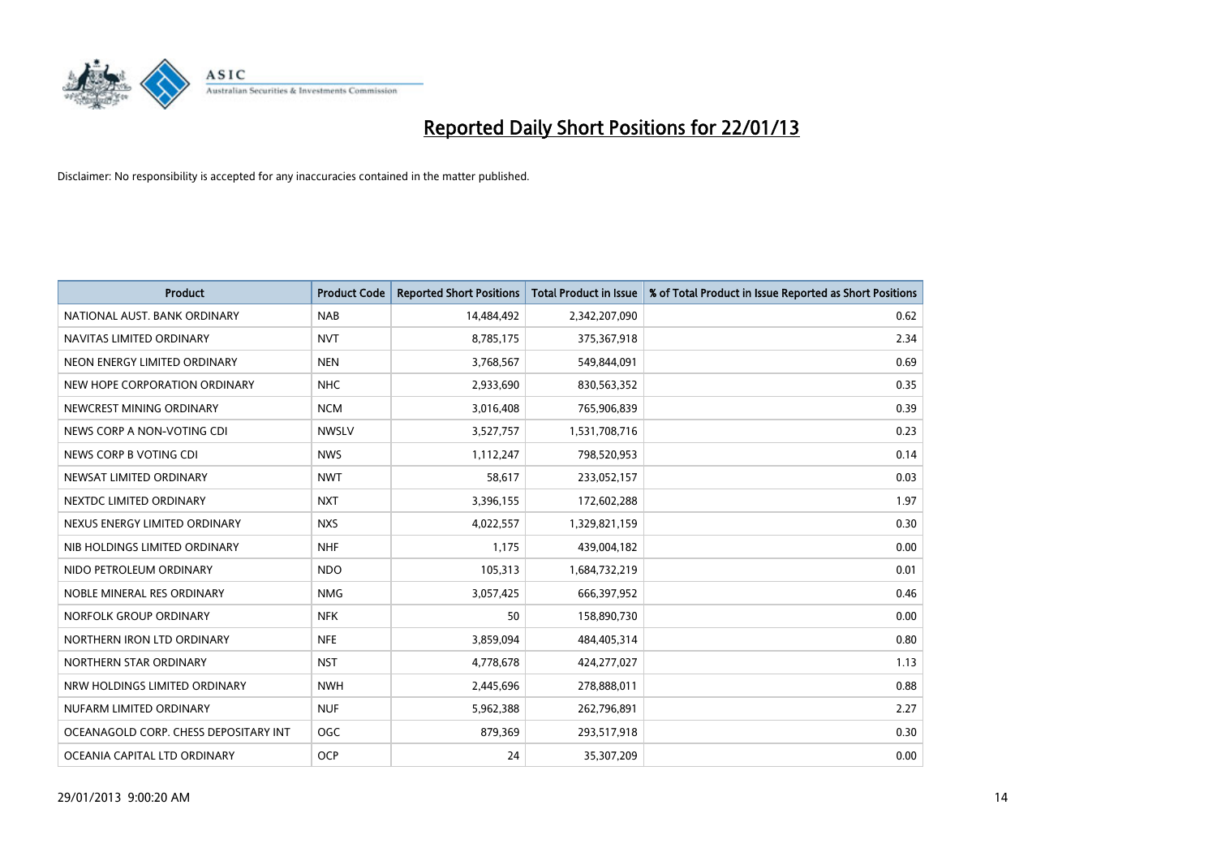

| <b>Product</b>                        | <b>Product Code</b> | <b>Reported Short Positions</b> | <b>Total Product in Issue</b> | % of Total Product in Issue Reported as Short Positions |
|---------------------------------------|---------------------|---------------------------------|-------------------------------|---------------------------------------------------------|
| NATIONAL AUST, BANK ORDINARY          | <b>NAB</b>          | 14,484,492                      | 2,342,207,090                 | 0.62                                                    |
| NAVITAS LIMITED ORDINARY              | <b>NVT</b>          | 8,785,175                       | 375,367,918                   | 2.34                                                    |
| NEON ENERGY LIMITED ORDINARY          | <b>NEN</b>          | 3,768,567                       | 549,844,091                   | 0.69                                                    |
| NEW HOPE CORPORATION ORDINARY         | <b>NHC</b>          | 2,933,690                       | 830,563,352                   | 0.35                                                    |
| NEWCREST MINING ORDINARY              | <b>NCM</b>          | 3,016,408                       | 765,906,839                   | 0.39                                                    |
| NEWS CORP A NON-VOTING CDI            | <b>NWSLV</b>        | 3,527,757                       | 1,531,708,716                 | 0.23                                                    |
| NEWS CORP B VOTING CDI                | <b>NWS</b>          | 1,112,247                       | 798,520,953                   | 0.14                                                    |
| NEWSAT LIMITED ORDINARY               | <b>NWT</b>          | 58,617                          | 233,052,157                   | 0.03                                                    |
| NEXTDC LIMITED ORDINARY               | <b>NXT</b>          | 3,396,155                       | 172,602,288                   | 1.97                                                    |
| NEXUS ENERGY LIMITED ORDINARY         | <b>NXS</b>          | 4,022,557                       | 1,329,821,159                 | 0.30                                                    |
| NIB HOLDINGS LIMITED ORDINARY         | <b>NHF</b>          | 1,175                           | 439,004,182                   | 0.00                                                    |
| NIDO PETROLEUM ORDINARY               | <b>NDO</b>          | 105,313                         | 1,684,732,219                 | 0.01                                                    |
| NOBLE MINERAL RES ORDINARY            | <b>NMG</b>          | 3,057,425                       | 666,397,952                   | 0.46                                                    |
| NORFOLK GROUP ORDINARY                | <b>NFK</b>          | 50                              | 158,890,730                   | 0.00                                                    |
| NORTHERN IRON LTD ORDINARY            | <b>NFE</b>          | 3,859,094                       | 484,405,314                   | 0.80                                                    |
| NORTHERN STAR ORDINARY                | <b>NST</b>          | 4,778,678                       | 424,277,027                   | 1.13                                                    |
| NRW HOLDINGS LIMITED ORDINARY         | <b>NWH</b>          | 2,445,696                       | 278,888,011                   | 0.88                                                    |
| NUFARM LIMITED ORDINARY               | <b>NUF</b>          | 5,962,388                       | 262,796,891                   | 2.27                                                    |
| OCEANAGOLD CORP. CHESS DEPOSITARY INT | <b>OGC</b>          | 879,369                         | 293,517,918                   | 0.30                                                    |
| OCEANIA CAPITAL LTD ORDINARY          | <b>OCP</b>          | 24                              | 35,307,209                    | 0.00                                                    |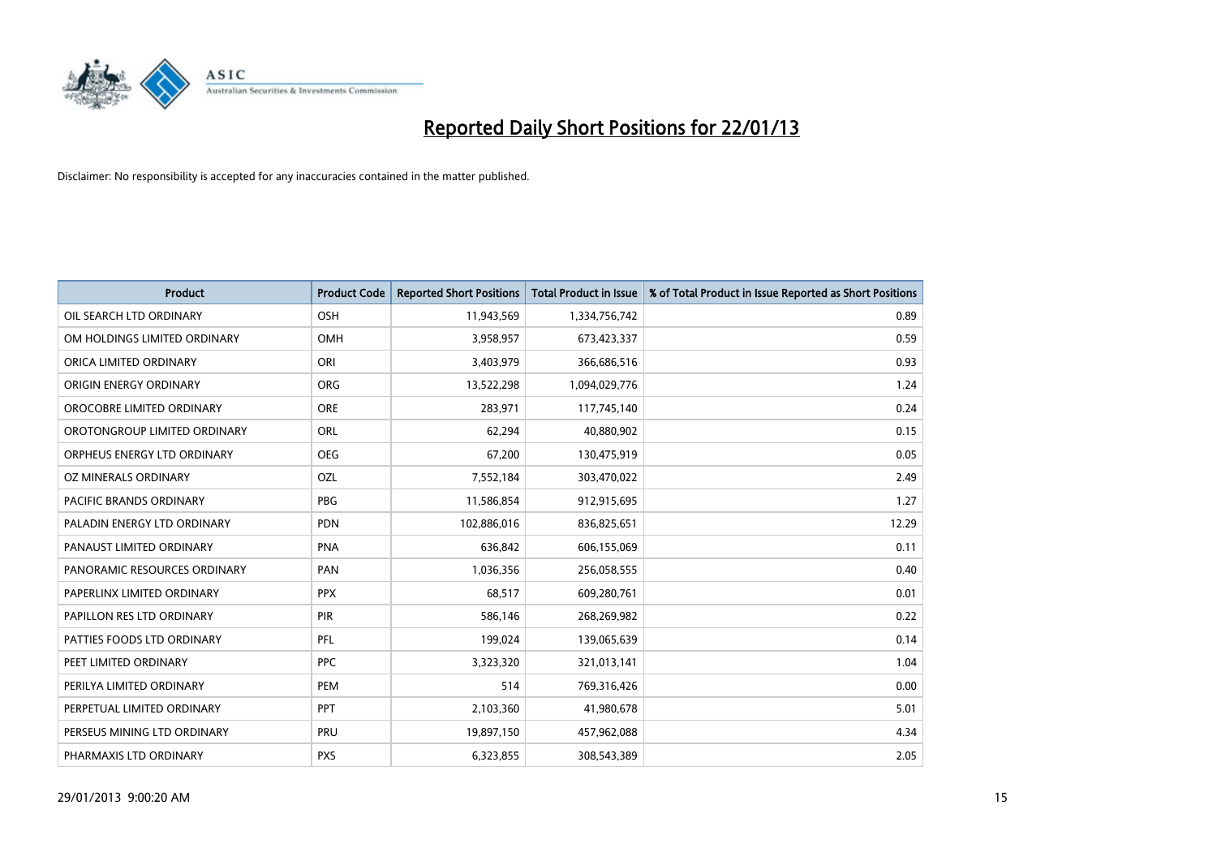

| <b>Product</b>                 | <b>Product Code</b> | <b>Reported Short Positions</b> | <b>Total Product in Issue</b> | % of Total Product in Issue Reported as Short Positions |
|--------------------------------|---------------------|---------------------------------|-------------------------------|---------------------------------------------------------|
| OIL SEARCH LTD ORDINARY        | OSH                 | 11,943,569                      | 1,334,756,742                 | 0.89                                                    |
| OM HOLDINGS LIMITED ORDINARY   | OMH                 | 3,958,957                       | 673,423,337                   | 0.59                                                    |
| ORICA LIMITED ORDINARY         | ORI                 | 3,403,979                       | 366,686,516                   | 0.93                                                    |
| ORIGIN ENERGY ORDINARY         | <b>ORG</b>          | 13,522,298                      | 1,094,029,776                 | 1.24                                                    |
| OROCOBRE LIMITED ORDINARY      | <b>ORE</b>          | 283,971                         | 117,745,140                   | 0.24                                                    |
| OROTONGROUP LIMITED ORDINARY   | ORL                 | 62,294                          | 40,880,902                    | 0.15                                                    |
| ORPHEUS ENERGY LTD ORDINARY    | <b>OEG</b>          | 67,200                          | 130,475,919                   | 0.05                                                    |
| OZ MINERALS ORDINARY           | OZL                 | 7,552,184                       | 303,470,022                   | 2.49                                                    |
| <b>PACIFIC BRANDS ORDINARY</b> | <b>PBG</b>          | 11,586,854                      | 912,915,695                   | 1.27                                                    |
| PALADIN ENERGY LTD ORDINARY    | <b>PDN</b>          | 102,886,016                     | 836,825,651                   | 12.29                                                   |
| PANAUST LIMITED ORDINARY       | <b>PNA</b>          | 636,842                         | 606,155,069                   | 0.11                                                    |
| PANORAMIC RESOURCES ORDINARY   | PAN                 | 1,036,356                       | 256,058,555                   | 0.40                                                    |
| PAPERLINX LIMITED ORDINARY     | <b>PPX</b>          | 68,517                          | 609,280,761                   | 0.01                                                    |
| PAPILLON RES LTD ORDINARY      | <b>PIR</b>          | 586,146                         | 268,269,982                   | 0.22                                                    |
| PATTIES FOODS LTD ORDINARY     | PFL                 | 199,024                         | 139,065,639                   | 0.14                                                    |
| PEET LIMITED ORDINARY          | <b>PPC</b>          | 3,323,320                       | 321,013,141                   | 1.04                                                    |
| PERILYA LIMITED ORDINARY       | PEM                 | 514                             | 769,316,426                   | 0.00                                                    |
| PERPETUAL LIMITED ORDINARY     | <b>PPT</b>          | 2,103,360                       | 41,980,678                    | 5.01                                                    |
| PERSEUS MINING LTD ORDINARY    | PRU                 | 19,897,150                      | 457,962,088                   | 4.34                                                    |
| PHARMAXIS LTD ORDINARY         | <b>PXS</b>          | 6,323,855                       | 308,543,389                   | 2.05                                                    |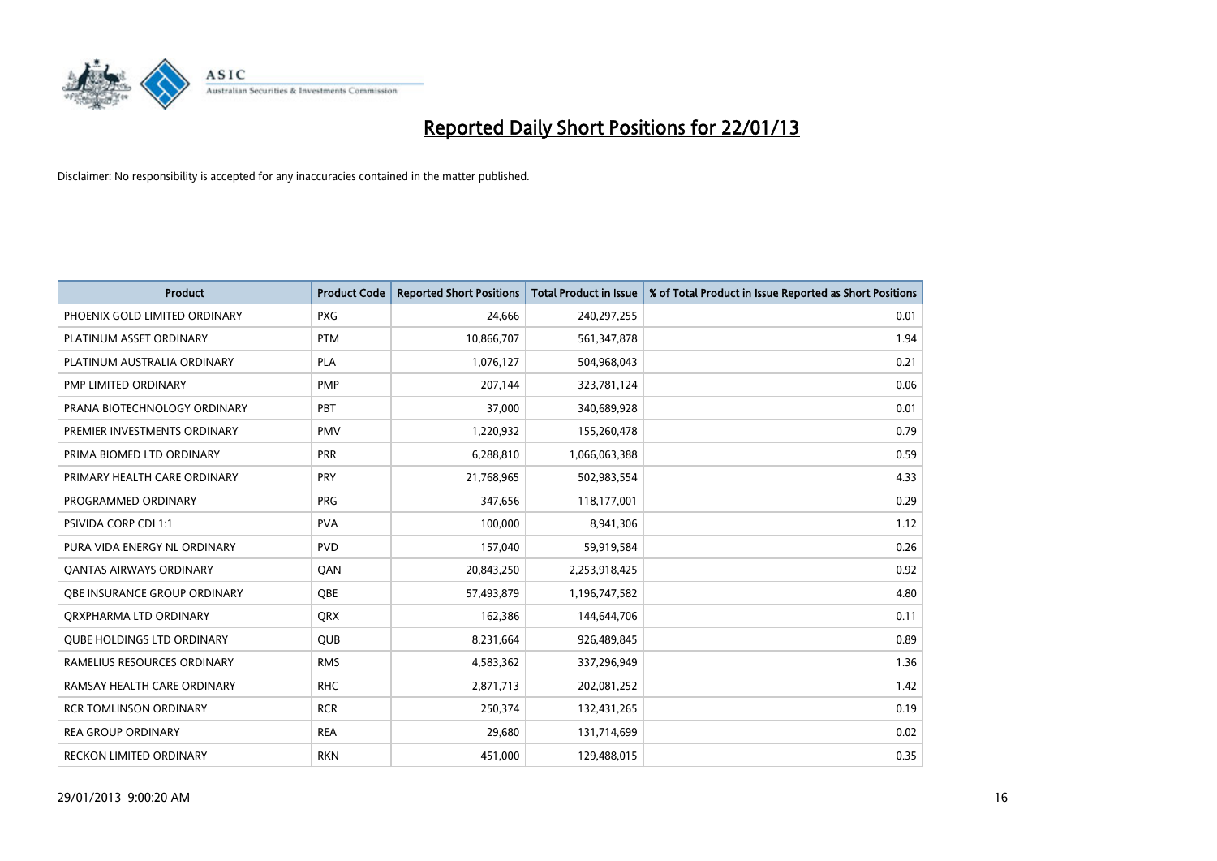

| <b>Product</b>                      | <b>Product Code</b> | <b>Reported Short Positions</b> | <b>Total Product in Issue</b> | % of Total Product in Issue Reported as Short Positions |
|-------------------------------------|---------------------|---------------------------------|-------------------------------|---------------------------------------------------------|
| PHOENIX GOLD LIMITED ORDINARY       | <b>PXG</b>          | 24,666                          | 240,297,255                   | 0.01                                                    |
| PLATINUM ASSET ORDINARY             | <b>PTM</b>          | 10,866,707                      | 561,347,878                   | 1.94                                                    |
| PLATINUM AUSTRALIA ORDINARY         | <b>PLA</b>          | 1,076,127                       | 504,968,043                   | 0.21                                                    |
| PMP LIMITED ORDINARY                | <b>PMP</b>          | 207,144                         | 323,781,124                   | 0.06                                                    |
| PRANA BIOTECHNOLOGY ORDINARY        | PBT                 | 37,000                          | 340,689,928                   | 0.01                                                    |
| PREMIER INVESTMENTS ORDINARY        | <b>PMV</b>          | 1,220,932                       | 155,260,478                   | 0.79                                                    |
| PRIMA BIOMED LTD ORDINARY           | <b>PRR</b>          | 6,288,810                       | 1,066,063,388                 | 0.59                                                    |
| PRIMARY HEALTH CARE ORDINARY        | PRY                 | 21,768,965                      | 502,983,554                   | 4.33                                                    |
| PROGRAMMED ORDINARY                 | <b>PRG</b>          | 347,656                         | 118,177,001                   | 0.29                                                    |
| <b>PSIVIDA CORP CDI 1:1</b>         | <b>PVA</b>          | 100,000                         | 8,941,306                     | 1.12                                                    |
| PURA VIDA ENERGY NL ORDINARY        | <b>PVD</b>          | 157,040                         | 59,919,584                    | 0.26                                                    |
| <b>QANTAS AIRWAYS ORDINARY</b>      | QAN                 | 20,843,250                      | 2,253,918,425                 | 0.92                                                    |
| <b>OBE INSURANCE GROUP ORDINARY</b> | <b>OBE</b>          | 57,493,879                      | 1,196,747,582                 | 4.80                                                    |
| ORXPHARMA LTD ORDINARY              | <b>QRX</b>          | 162,386                         | 144,644,706                   | 0.11                                                    |
| <b>QUBE HOLDINGS LTD ORDINARY</b>   | <b>QUB</b>          | 8,231,664                       | 926,489,845                   | 0.89                                                    |
| RAMELIUS RESOURCES ORDINARY         | <b>RMS</b>          | 4,583,362                       | 337,296,949                   | 1.36                                                    |
| RAMSAY HEALTH CARE ORDINARY         | <b>RHC</b>          | 2,871,713                       | 202,081,252                   | 1.42                                                    |
| <b>RCR TOMLINSON ORDINARY</b>       | <b>RCR</b>          | 250,374                         | 132,431,265                   | 0.19                                                    |
| <b>REA GROUP ORDINARY</b>           | <b>REA</b>          | 29,680                          | 131,714,699                   | 0.02                                                    |
| RECKON LIMITED ORDINARY             | <b>RKN</b>          | 451,000                         | 129,488,015                   | 0.35                                                    |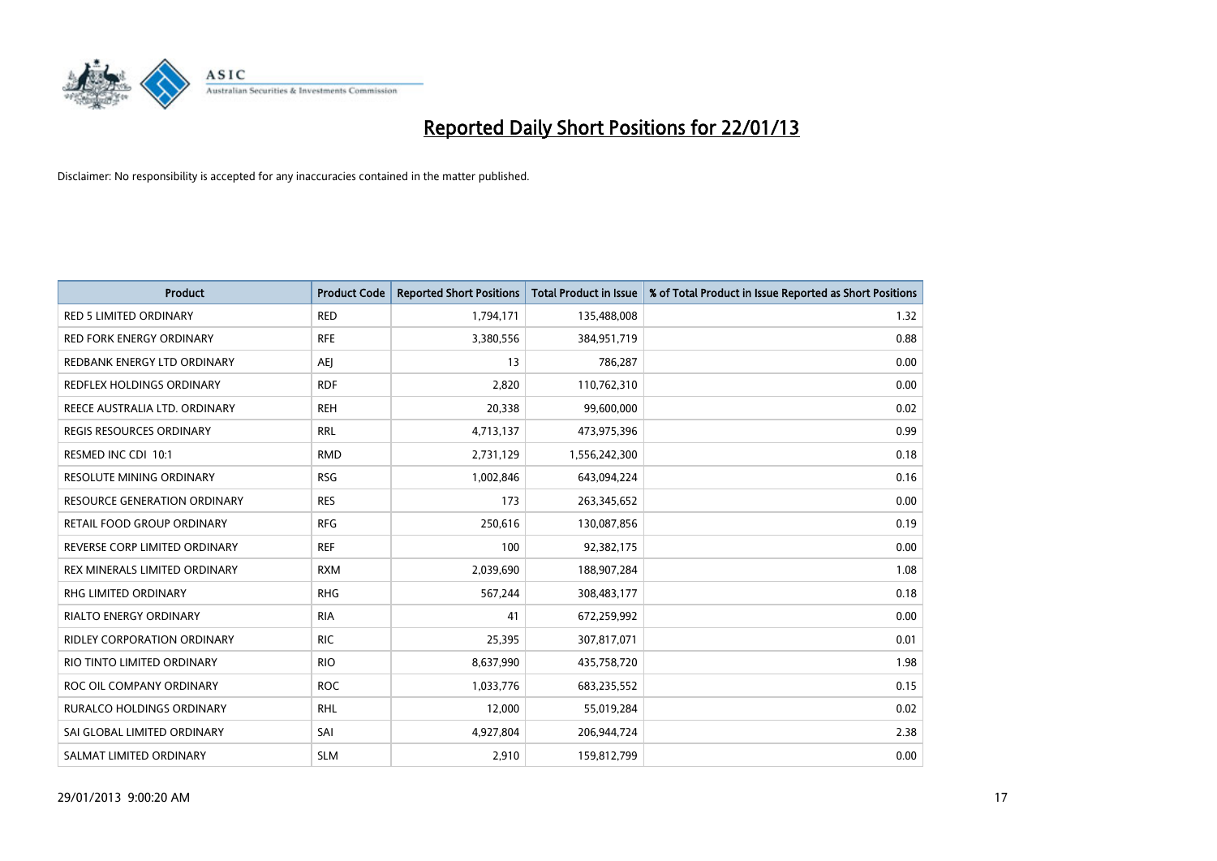

| <b>Product</b>                      | <b>Product Code</b> | <b>Reported Short Positions</b> | <b>Total Product in Issue</b> | % of Total Product in Issue Reported as Short Positions |
|-------------------------------------|---------------------|---------------------------------|-------------------------------|---------------------------------------------------------|
| <b>RED 5 LIMITED ORDINARY</b>       | <b>RED</b>          | 1,794,171                       | 135,488,008                   | 1.32                                                    |
| <b>RED FORK ENERGY ORDINARY</b>     | <b>RFE</b>          | 3,380,556                       | 384,951,719                   | 0.88                                                    |
| REDBANK ENERGY LTD ORDINARY         | AEJ                 | 13                              | 786,287                       | 0.00                                                    |
| REDFLEX HOLDINGS ORDINARY           | <b>RDF</b>          | 2,820                           | 110,762,310                   | 0.00                                                    |
| REECE AUSTRALIA LTD. ORDINARY       | <b>REH</b>          | 20,338                          | 99,600,000                    | 0.02                                                    |
| <b>REGIS RESOURCES ORDINARY</b>     | <b>RRL</b>          | 4,713,137                       | 473,975,396                   | 0.99                                                    |
| RESMED INC CDI 10:1                 | <b>RMD</b>          | 2,731,129                       | 1,556,242,300                 | 0.18                                                    |
| RESOLUTE MINING ORDINARY            | <b>RSG</b>          | 1,002,846                       | 643,094,224                   | 0.16                                                    |
| <b>RESOURCE GENERATION ORDINARY</b> | <b>RES</b>          | 173                             | 263,345,652                   | 0.00                                                    |
| RETAIL FOOD GROUP ORDINARY          | <b>RFG</b>          | 250,616                         | 130,087,856                   | 0.19                                                    |
| REVERSE CORP LIMITED ORDINARY       | <b>REF</b>          | 100                             | 92,382,175                    | 0.00                                                    |
| REX MINERALS LIMITED ORDINARY       | <b>RXM</b>          | 2,039,690                       | 188,907,284                   | 1.08                                                    |
| RHG LIMITED ORDINARY                | <b>RHG</b>          | 567,244                         | 308,483,177                   | 0.18                                                    |
| RIALTO ENERGY ORDINARY              | <b>RIA</b>          | 41                              | 672,259,992                   | 0.00                                                    |
| RIDLEY CORPORATION ORDINARY         | <b>RIC</b>          | 25,395                          | 307,817,071                   | 0.01                                                    |
| RIO TINTO LIMITED ORDINARY          | <b>RIO</b>          | 8,637,990                       | 435,758,720                   | 1.98                                                    |
| ROC OIL COMPANY ORDINARY            | <b>ROC</b>          | 1,033,776                       | 683,235,552                   | 0.15                                                    |
| RURALCO HOLDINGS ORDINARY           | <b>RHL</b>          | 12,000                          | 55,019,284                    | 0.02                                                    |
| SAI GLOBAL LIMITED ORDINARY         | SAI                 | 4,927,804                       | 206,944,724                   | 2.38                                                    |
| SALMAT LIMITED ORDINARY             | <b>SLM</b>          | 2,910                           | 159,812,799                   | 0.00                                                    |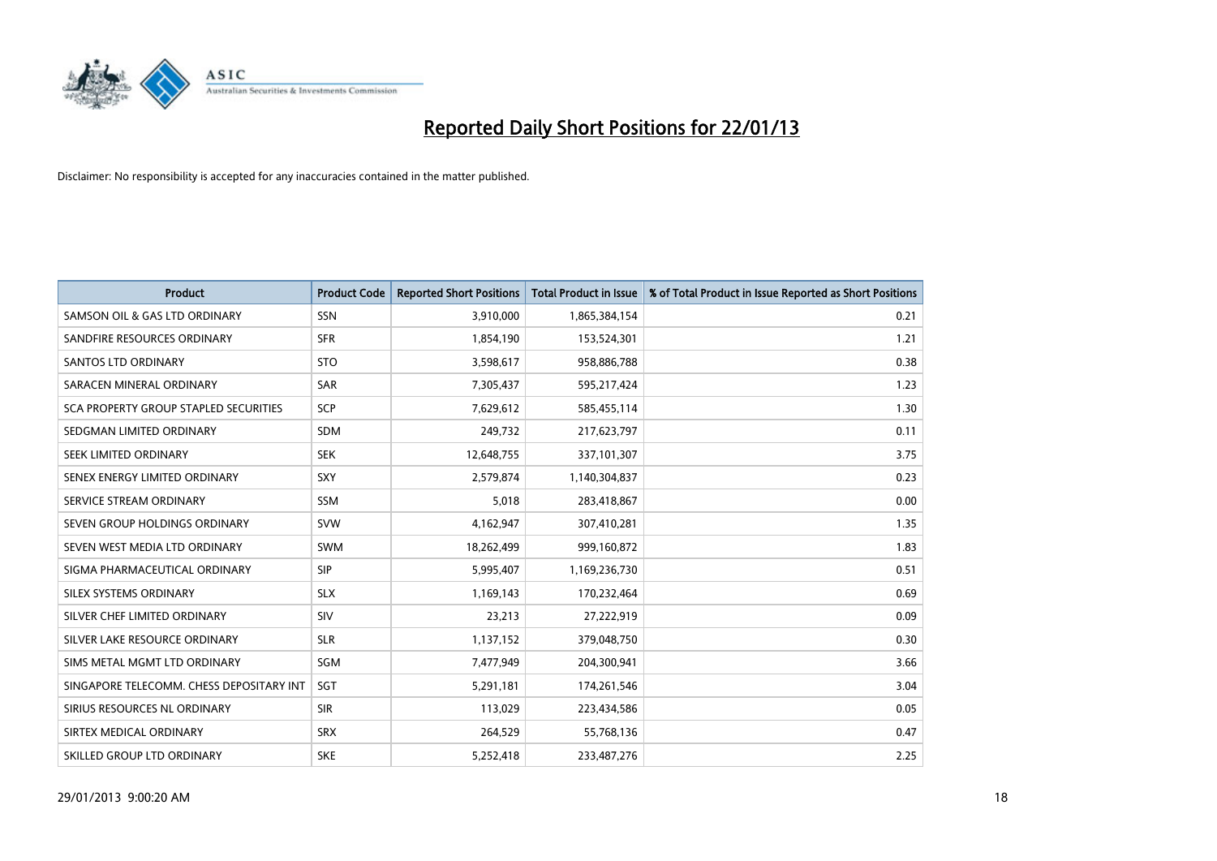

| <b>Product</b>                               | <b>Product Code</b> | <b>Reported Short Positions</b> | <b>Total Product in Issue</b> | % of Total Product in Issue Reported as Short Positions |
|----------------------------------------------|---------------------|---------------------------------|-------------------------------|---------------------------------------------------------|
| SAMSON OIL & GAS LTD ORDINARY                | SSN                 | 3,910,000                       | 1,865,384,154                 | 0.21                                                    |
| SANDFIRE RESOURCES ORDINARY                  | <b>SFR</b>          | 1,854,190                       | 153,524,301                   | 1.21                                                    |
| <b>SANTOS LTD ORDINARY</b>                   | <b>STO</b>          | 3,598,617                       | 958,886,788                   | 0.38                                                    |
| SARACEN MINERAL ORDINARY                     | <b>SAR</b>          | 7,305,437                       | 595,217,424                   | 1.23                                                    |
| <b>SCA PROPERTY GROUP STAPLED SECURITIES</b> | <b>SCP</b>          | 7,629,612                       | 585,455,114                   | 1.30                                                    |
| SEDGMAN LIMITED ORDINARY                     | <b>SDM</b>          | 249,732                         | 217,623,797                   | 0.11                                                    |
| SEEK LIMITED ORDINARY                        | <b>SEK</b>          | 12,648,755                      | 337,101,307                   | 3.75                                                    |
| SENEX ENERGY LIMITED ORDINARY                | <b>SXY</b>          | 2,579,874                       | 1,140,304,837                 | 0.23                                                    |
| SERVICE STREAM ORDINARY                      | <b>SSM</b>          | 5,018                           | 283,418,867                   | 0.00                                                    |
| SEVEN GROUP HOLDINGS ORDINARY                | <b>SVW</b>          | 4,162,947                       | 307,410,281                   | 1.35                                                    |
| SEVEN WEST MEDIA LTD ORDINARY                | <b>SWM</b>          | 18,262,499                      | 999,160,872                   | 1.83                                                    |
| SIGMA PHARMACEUTICAL ORDINARY                | <b>SIP</b>          | 5,995,407                       | 1,169,236,730                 | 0.51                                                    |
| SILEX SYSTEMS ORDINARY                       | <b>SLX</b>          | 1,169,143                       | 170,232,464                   | 0.69                                                    |
| SILVER CHEF LIMITED ORDINARY                 | SIV                 | 23,213                          | 27,222,919                    | 0.09                                                    |
| SILVER LAKE RESOURCE ORDINARY                | <b>SLR</b>          | 1,137,152                       | 379,048,750                   | 0.30                                                    |
| SIMS METAL MGMT LTD ORDINARY                 | <b>SGM</b>          | 7,477,949                       | 204,300,941                   | 3.66                                                    |
| SINGAPORE TELECOMM. CHESS DEPOSITARY INT     | <b>SGT</b>          | 5,291,181                       | 174,261,546                   | 3.04                                                    |
| SIRIUS RESOURCES NL ORDINARY                 | <b>SIR</b>          | 113,029                         | 223,434,586                   | 0.05                                                    |
| SIRTEX MEDICAL ORDINARY                      | <b>SRX</b>          | 264,529                         | 55,768,136                    | 0.47                                                    |
| SKILLED GROUP LTD ORDINARY                   | <b>SKE</b>          | 5,252,418                       | 233,487,276                   | 2.25                                                    |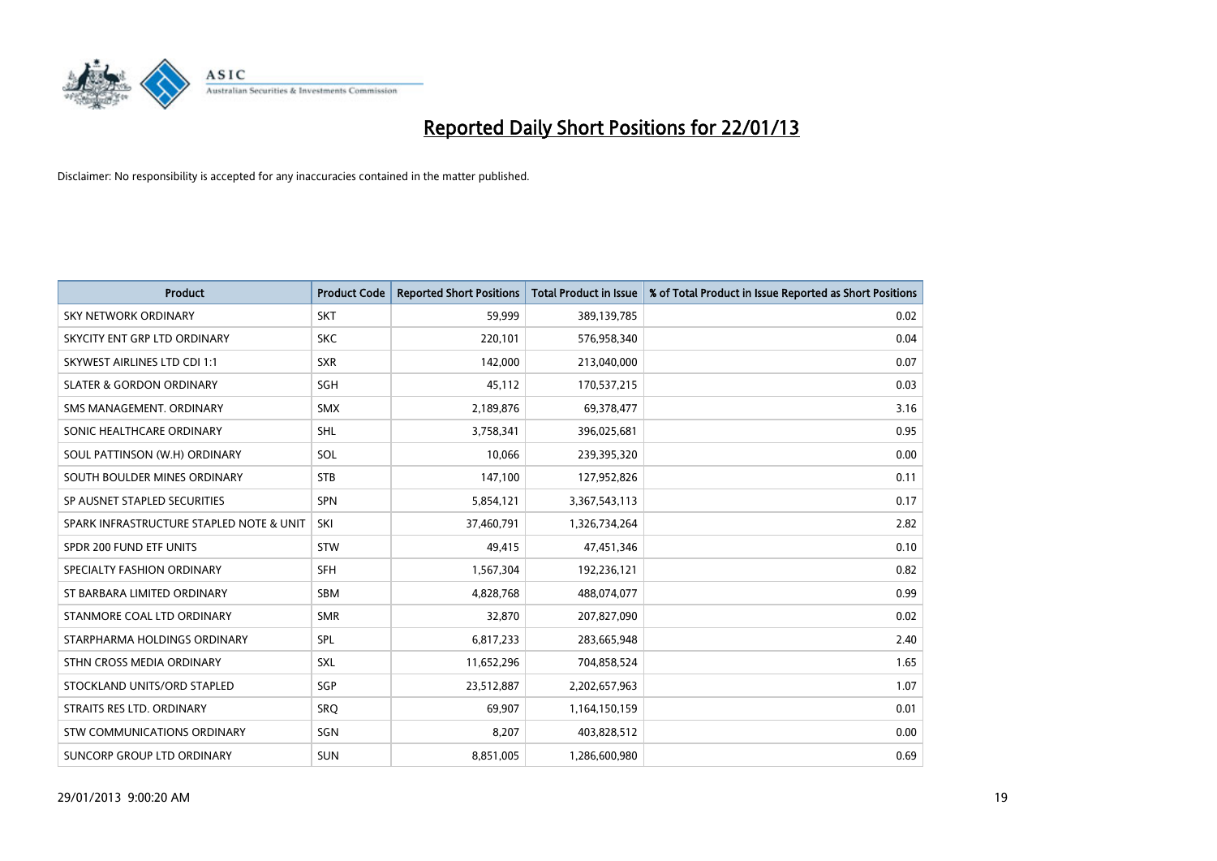

| <b>Product</b>                           | <b>Product Code</b> | <b>Reported Short Positions</b> | <b>Total Product in Issue</b> | % of Total Product in Issue Reported as Short Positions |
|------------------------------------------|---------------------|---------------------------------|-------------------------------|---------------------------------------------------------|
| <b>SKY NETWORK ORDINARY</b>              | <b>SKT</b>          | 59,999                          | 389,139,785                   | 0.02                                                    |
| SKYCITY ENT GRP LTD ORDINARY             | <b>SKC</b>          | 220,101                         | 576,958,340                   | 0.04                                                    |
| <b>SKYWEST AIRLINES LTD CDI 1:1</b>      | <b>SXR</b>          | 142,000                         | 213,040,000                   | 0.07                                                    |
| <b>SLATER &amp; GORDON ORDINARY</b>      | SGH                 | 45,112                          | 170,537,215                   | 0.03                                                    |
| SMS MANAGEMENT, ORDINARY                 | <b>SMX</b>          | 2,189,876                       | 69,378,477                    | 3.16                                                    |
| SONIC HEALTHCARE ORDINARY                | <b>SHL</b>          | 3,758,341                       | 396,025,681                   | 0.95                                                    |
| SOUL PATTINSON (W.H) ORDINARY            | SOL                 | 10,066                          | 239,395,320                   | 0.00                                                    |
| SOUTH BOULDER MINES ORDINARY             | <b>STB</b>          | 147,100                         | 127,952,826                   | 0.11                                                    |
| SP AUSNET STAPLED SECURITIES             | <b>SPN</b>          | 5,854,121                       | 3,367,543,113                 | 0.17                                                    |
| SPARK INFRASTRUCTURE STAPLED NOTE & UNIT | SKI                 | 37,460,791                      | 1,326,734,264                 | 2.82                                                    |
| SPDR 200 FUND ETF UNITS                  | <b>STW</b>          | 49,415                          | 47,451,346                    | 0.10                                                    |
| SPECIALTY FASHION ORDINARY               | <b>SFH</b>          | 1,567,304                       | 192,236,121                   | 0.82                                                    |
| ST BARBARA LIMITED ORDINARY              | <b>SBM</b>          | 4,828,768                       | 488,074,077                   | 0.99                                                    |
| STANMORE COAL LTD ORDINARY               | <b>SMR</b>          | 32,870                          | 207,827,090                   | 0.02                                                    |
| STARPHARMA HOLDINGS ORDINARY             | SPL                 | 6,817,233                       | 283,665,948                   | 2.40                                                    |
| STHN CROSS MEDIA ORDINARY                | SXL                 | 11,652,296                      | 704,858,524                   | 1.65                                                    |
| STOCKLAND UNITS/ORD STAPLED              | SGP                 | 23,512,887                      | 2,202,657,963                 | 1.07                                                    |
| STRAITS RES LTD. ORDINARY                | SRQ                 | 69,907                          | 1,164,150,159                 | 0.01                                                    |
| STW COMMUNICATIONS ORDINARY              | SGN                 | 8,207                           | 403,828,512                   | 0.00                                                    |
| SUNCORP GROUP LTD ORDINARY               | <b>SUN</b>          | 8,851,005                       | 1,286,600,980                 | 0.69                                                    |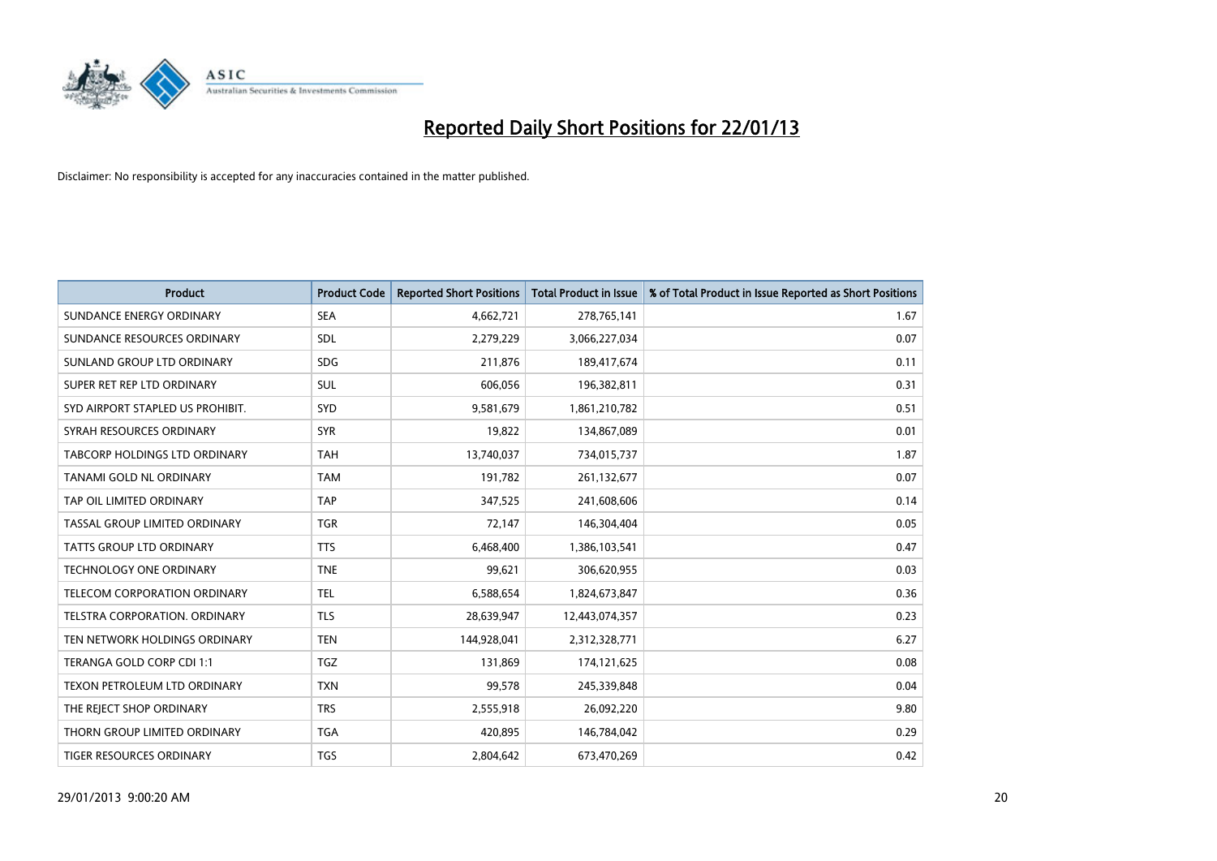

| <b>Product</b>                       | <b>Product Code</b> | <b>Reported Short Positions</b> | <b>Total Product in Issue</b> | % of Total Product in Issue Reported as Short Positions |
|--------------------------------------|---------------------|---------------------------------|-------------------------------|---------------------------------------------------------|
| SUNDANCE ENERGY ORDINARY             | <b>SEA</b>          | 4,662,721                       | 278,765,141                   | 1.67                                                    |
| SUNDANCE RESOURCES ORDINARY          | <b>SDL</b>          | 2,279,229                       | 3,066,227,034                 | 0.07                                                    |
| SUNLAND GROUP LTD ORDINARY           | <b>SDG</b>          | 211,876                         | 189,417,674                   | 0.11                                                    |
| SUPER RET REP LTD ORDINARY           | <b>SUL</b>          | 606,056                         | 196,382,811                   | 0.31                                                    |
| SYD AIRPORT STAPLED US PROHIBIT.     | SYD                 | 9,581,679                       | 1,861,210,782                 | 0.51                                                    |
| SYRAH RESOURCES ORDINARY             | <b>SYR</b>          | 19,822                          | 134,867,089                   | 0.01                                                    |
| TABCORP HOLDINGS LTD ORDINARY        | <b>TAH</b>          | 13,740,037                      | 734,015,737                   | 1.87                                                    |
| <b>TANAMI GOLD NL ORDINARY</b>       | <b>TAM</b>          | 191,782                         | 261,132,677                   | 0.07                                                    |
| TAP OIL LIMITED ORDINARY             | <b>TAP</b>          | 347,525                         | 241,608,606                   | 0.14                                                    |
| TASSAL GROUP LIMITED ORDINARY        | <b>TGR</b>          | 72,147                          | 146,304,404                   | 0.05                                                    |
| TATTS GROUP LTD ORDINARY             | <b>TTS</b>          | 6,468,400                       | 1,386,103,541                 | 0.47                                                    |
| <b>TECHNOLOGY ONE ORDINARY</b>       | <b>TNE</b>          | 99,621                          | 306,620,955                   | 0.03                                                    |
| TELECOM CORPORATION ORDINARY         | <b>TEL</b>          | 6,588,654                       | 1,824,673,847                 | 0.36                                                    |
| <b>TELSTRA CORPORATION, ORDINARY</b> | <b>TLS</b>          | 28,639,947                      | 12,443,074,357                | 0.23                                                    |
| TEN NETWORK HOLDINGS ORDINARY        | <b>TEN</b>          | 144,928,041                     | 2,312,328,771                 | 6.27                                                    |
| TERANGA GOLD CORP CDI 1:1            | <b>TGZ</b>          | 131,869                         | 174,121,625                   | 0.08                                                    |
| TEXON PETROLEUM LTD ORDINARY         | <b>TXN</b>          | 99,578                          | 245,339,848                   | 0.04                                                    |
| THE REJECT SHOP ORDINARY             | <b>TRS</b>          | 2,555,918                       | 26,092,220                    | 9.80                                                    |
| THORN GROUP LIMITED ORDINARY         | <b>TGA</b>          | 420,895                         | 146,784,042                   | 0.29                                                    |
| TIGER RESOURCES ORDINARY             | <b>TGS</b>          | 2,804,642                       | 673,470,269                   | 0.42                                                    |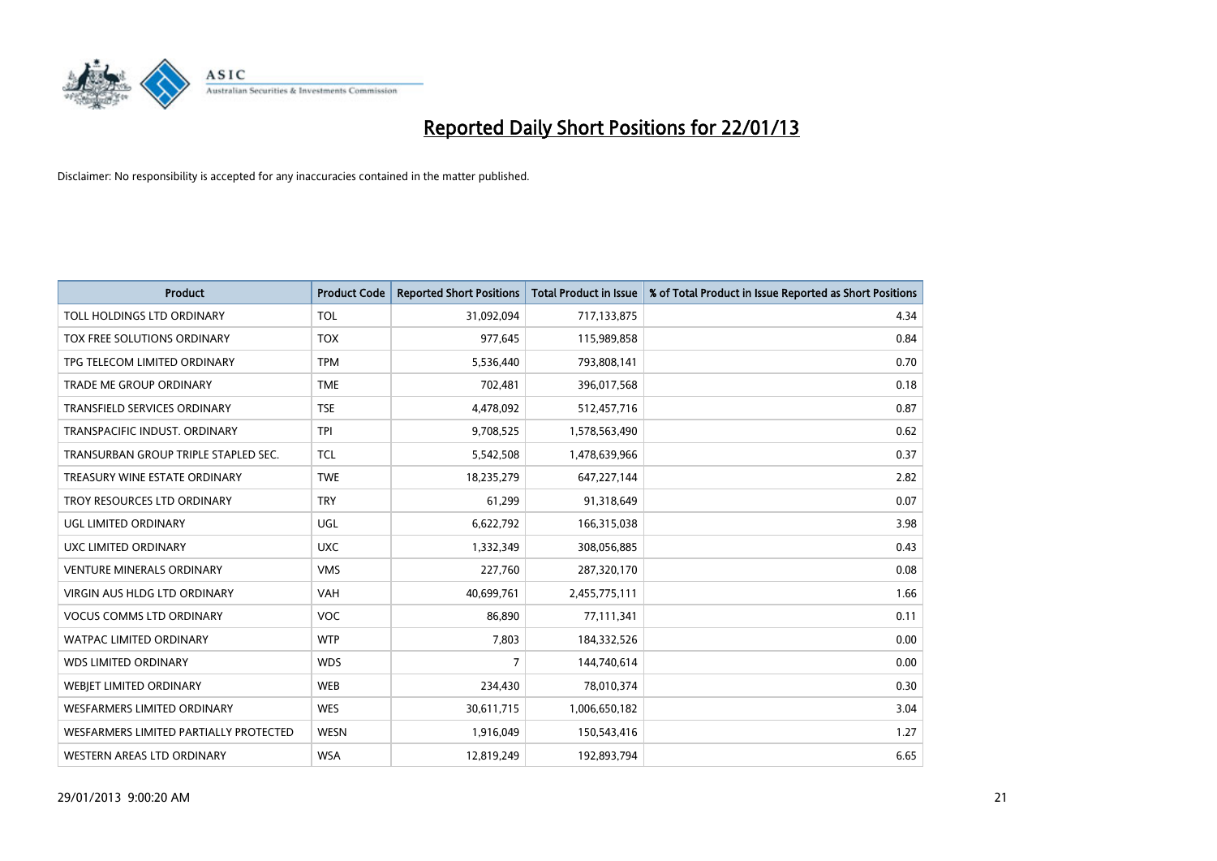

| <b>Product</b>                         | <b>Product Code</b> | <b>Reported Short Positions</b> | <b>Total Product in Issue</b> | % of Total Product in Issue Reported as Short Positions |
|----------------------------------------|---------------------|---------------------------------|-------------------------------|---------------------------------------------------------|
| TOLL HOLDINGS LTD ORDINARY             | <b>TOL</b>          | 31,092,094                      | 717,133,875                   | 4.34                                                    |
| TOX FREE SOLUTIONS ORDINARY            | <b>TOX</b>          | 977,645                         | 115,989,858                   | 0.84                                                    |
| TPG TELECOM LIMITED ORDINARY           | <b>TPM</b>          | 5,536,440                       | 793,808,141                   | 0.70                                                    |
| TRADE ME GROUP ORDINARY                | <b>TME</b>          | 702,481                         | 396,017,568                   | 0.18                                                    |
| <b>TRANSFIELD SERVICES ORDINARY</b>    | <b>TSE</b>          | 4,478,092                       | 512,457,716                   | 0.87                                                    |
| TRANSPACIFIC INDUST, ORDINARY          | <b>TPI</b>          | 9,708,525                       | 1,578,563,490                 | 0.62                                                    |
| TRANSURBAN GROUP TRIPLE STAPLED SEC.   | <b>TCL</b>          | 5,542,508                       | 1,478,639,966                 | 0.37                                                    |
| TREASURY WINE ESTATE ORDINARY          | <b>TWE</b>          | 18,235,279                      | 647,227,144                   | 2.82                                                    |
| TROY RESOURCES LTD ORDINARY            | <b>TRY</b>          | 61,299                          | 91,318,649                    | 0.07                                                    |
| <b>UGL LIMITED ORDINARY</b>            | UGL                 | 6,622,792                       | 166,315,038                   | 3.98                                                    |
| UXC LIMITED ORDINARY                   | <b>UXC</b>          | 1,332,349                       | 308,056,885                   | 0.43                                                    |
| <b>VENTURE MINERALS ORDINARY</b>       | <b>VMS</b>          | 227,760                         | 287,320,170                   | 0.08                                                    |
| VIRGIN AUS HLDG LTD ORDINARY           | VAH                 | 40,699,761                      | 2,455,775,111                 | 1.66                                                    |
| <b>VOCUS COMMS LTD ORDINARY</b>        | <b>VOC</b>          | 86,890                          | 77,111,341                    | 0.11                                                    |
| <b>WATPAC LIMITED ORDINARY</b>         | <b>WTP</b>          | 7,803                           | 184,332,526                   | 0.00                                                    |
| <b>WDS LIMITED ORDINARY</b>            | <b>WDS</b>          | 7                               | 144,740,614                   | 0.00                                                    |
| WEBIET LIMITED ORDINARY                | <b>WEB</b>          | 234,430                         | 78,010,374                    | 0.30                                                    |
| <b>WESFARMERS LIMITED ORDINARY</b>     | <b>WES</b>          | 30,611,715                      | 1,006,650,182                 | 3.04                                                    |
| WESFARMERS LIMITED PARTIALLY PROTECTED | <b>WESN</b>         | 1,916,049                       | 150,543,416                   | 1.27                                                    |
| WESTERN AREAS LTD ORDINARY             | <b>WSA</b>          | 12,819,249                      | 192,893,794                   | 6.65                                                    |